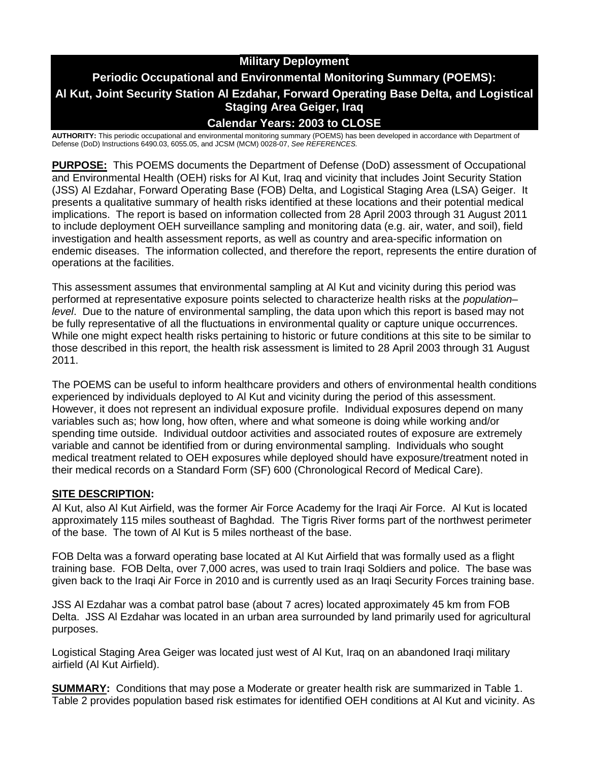# **Military Deployment Periodic Occupational and Environmental Monitoring Summary (POEMS): Al Kut, Joint Security Station Al Ezdahar, Forward Operating Base Delta, and Logistical Staging Area Geiger, Iraq Calendar Years: 2003 to CLOSE**

**AUTHORITY:** This periodic occupational and environmental monitoring summary (POEMS) has been developed in accordance with Department of Defense (DoD) Instructions 6490.03, 6055.05, and JCSM (MCM) 0028-07, *See REFERENCES.*

**PURPOSE:** This POEMS documents the Department of Defense (DoD) assessment of Occupational and Environmental Health (OEH) risks for Al Kut, Iraq and vicinity that includes Joint Security Station (JSS) Al Ezdahar, Forward Operating Base (FOB) Delta, and Logistical Staging Area (LSA) Geiger. It presents a qualitative summary of health risks identified at these locations and their potential medical implications. The report is based on information collected from 28 April 2003 through 31 August 2011 to include deployment OEH surveillance sampling and monitoring data (e.g. air, water, and soil), field investigation and health assessment reports, as well as country and area-specific information on endemic diseases. The information collected, and therefore the report, represents the entire duration of operations at the facilities.

This assessment assumes that environmental sampling at Al Kut and vicinity during this period was performed at representative exposure points selected to characterize health risks at the *population– level*. Due to the nature of environmental sampling, the data upon which this report is based may not be fully representative of all the fluctuations in environmental quality or capture unique occurrences. While one might expect health risks pertaining to historic or future conditions at this site to be similar to those described in this report, the health risk assessment is limited to 28 April 2003 through 31 August 2011.

The POEMS can be useful to inform healthcare providers and others of environmental health conditions experienced by individuals deployed to Al Kut and vicinity during the period of this assessment. However, it does not represent an individual exposure profile. Individual exposures depend on many variables such as; how long, how often, where and what someone is doing while working and/or spending time outside. Individual outdoor activities and associated routes of exposure are extremely variable and cannot be identified from or during environmental sampling. Individuals who sought medical treatment related to OEH exposures while deployed should have exposure/treatment noted in their medical records on a Standard Form (SF) 600 (Chronological Record of Medical Care).

# **SITE DESCRIPTION:**

Al Kut, also Al Kut Airfield, was the former Air Force Academy for the Iraqi Air Force. Al Kut is located approximately 115 miles southeast of Baghdad. The Tigris River forms part of the northwest perimeter of the base. The town of Al Kut is 5 miles northeast of the base.

FOB Delta was a forward operating base located at Al Kut Airfield that was formally used as a flight training base. FOB Delta, over 7,000 acres, was used to train Iraqi Soldiers and police. The base was given back to the Iraqi Air Force in 2010 and is currently used as an Iraqi Security Forces training base.

JSS Al Ezdahar was a combat patrol base (about 7 acres) located approximately 45 km from FOB Delta. JSS Al Ezdahar was located in an urban area surrounded by land primarily used for agricultural purposes.

Logistical Staging Area Geiger was located just west of Al Kut, Iraq on an abandoned Iraqi military airfield (Al Kut Airfield).

**SUMMARY:** Conditions that may pose a Moderate or greater health risk are summarized in Table 1. Table 2 provides population based risk estimates for identified OEH conditions at Al Kut and vicinity. As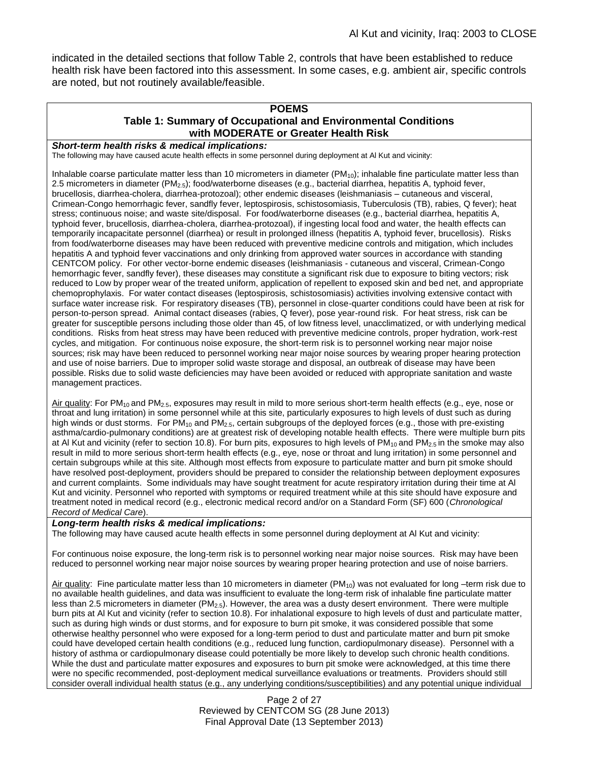indicated in the detailed sections that follow Table 2, controls that have been established to reduce health risk have been factored into this assessment. In some cases, e.g. ambient air, specific controls are noted, but not routinely available/feasible.

#### **POEMS Table 1: Summary of Occupational and Environmental Conditions with MODERATE or Greater Health Risk**

#### *Short-term health risks & medical implications:*

The following may have caused acute health effects in some personnel during deployment at Al Kut and vicinity:

Inhalable coarse particulate matter less than 10 micrometers in diameter  $(PM_{10})$ ; inhalable fine particulate matter less than 2.5 micrometers in diameter (PM2.5); food/waterborne diseases (e.g., bacterial diarrhea, hepatitis A, typhoid fever, brucellosis, diarrhea-cholera, diarrhea-protozoal); other endemic diseases (leishmaniasis – cutaneous and visceral, Crimean-Congo hemorrhagic fever, sandfly fever, leptospirosis, schistosomiasis, Tuberculosis (TB), rabies, Q fever); heat stress; continuous noise; and waste site/disposal. For food/waterborne diseases (e.g., bacterial diarrhea, hepatitis A, typhoid fever, brucellosis, diarrhea-cholera, diarrhea-protozoal), if ingesting local food and water, the health effects can temporarily incapacitate personnel (diarrhea) or result in prolonged illness (hepatitis A, typhoid fever, brucellosis). Risks from food/waterborne diseases may have been reduced with preventive medicine controls and mitigation, which includes hepatitis A and typhoid fever vaccinations and only drinking from approved water sources in accordance with standing CENTCOM policy. For other vector-borne endemic diseases (leishmaniasis - cutaneous and visceral, Crimean-Congo hemorrhagic fever, sandfly fever), these diseases may constitute a significant risk due to exposure to biting vectors; risk reduced to Low by proper wear of the treated uniform, application of repellent to exposed skin and bed net, and appropriate chemoprophylaxis. For water contact diseases (leptospirosis, schistosomiasis) activities involving extensive contact with surface water increase risk. For respiratory diseases (TB), personnel in close-quarter conditions could have been at risk for person-to-person spread. Animal contact diseases (rabies, Q fever), pose year-round risk. For heat stress, risk can be greater for susceptible persons including those older than 45, of low fitness level, unacclimatized, or with underlying medical conditions. Risks from heat stress may have been reduced with preventive medicine controls, proper hydration, work-rest cycles, and mitigation. For continuous noise exposure, the short-term risk is to personnel working near major noise sources; risk may have been reduced to personnel working near major noise sources by wearing proper hearing protection and use of noise barriers. Due to improper solid waste storage and disposal, an outbreak of disease may have been possible. Risks due to solid waste deficiencies may have been avoided or reduced with appropriate sanitation and waste management practices.

Air quality: For  $PM_{10}$  and  $PM_{2.5}$ , exposures may result in mild to more serious short-term health effects (e.g., eye, nose or throat and lung irritation) in some personnel while at this site, particularly exposures to high levels of dust such as during high winds or dust storms. For  $PM_{10}$  and  $PM_{2.5}$ , certain subgroups of the deployed forces (e.g., those with pre-existing asthma/cardio-pulmonary conditions) are at greatest risk of developing notable health effects. There were multiple burn pits at Al Kut and vicinity (refer to section 10.8). For burn pits, exposures to high levels of  $PM_{10}$  and  $PM_{2.5}$  in the smoke may also result in mild to more serious short-term health effects (e.g., eye, nose or throat and lung irritation) in some personnel and certain subgroups while at this site. Although most effects from exposure to particulate matter and burn pit smoke should have resolved post-deployment, providers should be prepared to consider the relationship between deployment exposures and current complaints. Some individuals may have sought treatment for acute respiratory irritation during their time at Al Kut and vicinity. Personnel who reported with symptoms or required treatment while at this site should have exposure and treatment noted in medical record (e.g., electronic medical record and/or on a Standard Form (SF) 600 (*Chronological Record of Medical Care*).

#### *Long-term health risks & medical implications:*

The following may have caused acute health effects in some personnel during deployment at Al Kut and vicinity:

For continuous noise exposure, the long-term risk is to personnel working near major noise sources. Risk may have been reduced to personnel working near major noise sources by wearing proper hearing protection and use of noise barriers.

Air quality: Fine particulate matter less than 10 micrometers in diameter ( $PM_{10}$ ) was not evaluated for long –term risk due to no available health guidelines, and data was insufficient to evaluate the long-term risk of inhalable fine particulate matter less than 2.5 micrometers in diameter (PM<sub>2.5</sub>). However, the area was a dusty desert environment. There were multiple burn pits at Al Kut and vicinity (refer to section 10.8). For inhalational exposure to high levels of dust and particulate matter, such as during high winds or dust storms, and for exposure to burn pit smoke, it was considered possible that some otherwise healthy personnel who were exposed for a long-term period to dust and particulate matter and burn pit smoke could have developed certain health conditions (e.g., reduced lung function, cardiopulmonary disease). Personnel with a history of asthma or cardiopulmonary disease could potentially be more likely to develop such chronic health conditions. While the dust and particulate matter exposures and exposures to burn pit smoke were acknowledged, at this time there were no specific recommended, post-deployment medical surveillance evaluations or treatments. Providers should still consider overall individual health status (e.g., any underlying conditions/susceptibilities) and any potential unique individual

> Page 2 of 27 Reviewed by CENTCOM SG (28 June 2013) Final Approval Date (13 September 2013)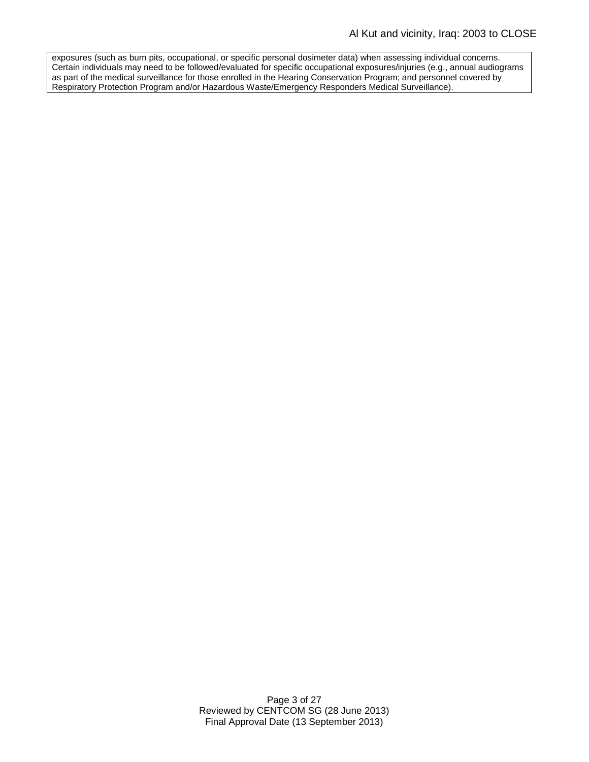exposures (such as burn pits, occupational, or specific personal dosimeter data) when assessing individual concerns. Certain individuals may need to be followed/evaluated for specific occupational exposures/injuries (e.g., annual audiograms as part of the medical surveillance for those enrolled in the Hearing Conservation Program; and personnel covered by Respiratory Protection Program and/or Hazardous Waste/Emergency Responders Medical Surveillance).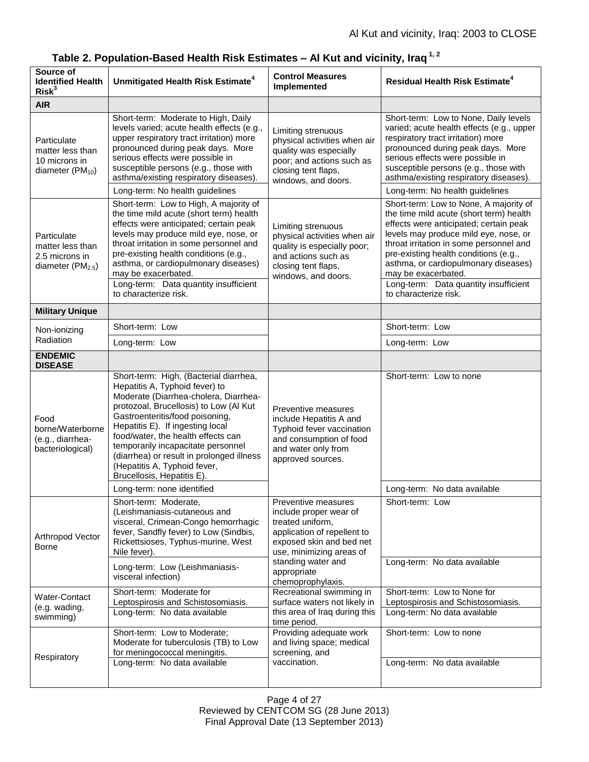| Source of<br><b>Identified Health</b><br>Risk <sup>3</sup>                         | Unmitigated Health Risk Estimate <sup>4</sup>                                                                                                                                                                                                                                                                                                                                                                             | <b>Control Measures</b><br>Implemented                                                                                                                                                                             | <b>Residual Health Risk Estimate<sup>4</sup></b>                                                                                                                                                                                                                                                                                                                 |
|------------------------------------------------------------------------------------|---------------------------------------------------------------------------------------------------------------------------------------------------------------------------------------------------------------------------------------------------------------------------------------------------------------------------------------------------------------------------------------------------------------------------|--------------------------------------------------------------------------------------------------------------------------------------------------------------------------------------------------------------------|------------------------------------------------------------------------------------------------------------------------------------------------------------------------------------------------------------------------------------------------------------------------------------------------------------------------------------------------------------------|
| <b>AIR</b>                                                                         |                                                                                                                                                                                                                                                                                                                                                                                                                           |                                                                                                                                                                                                                    |                                                                                                                                                                                                                                                                                                                                                                  |
| Particulate<br>matter less than<br>10 microns in<br>diameter $(PM_{10})$           | Short-term: Moderate to High, Daily<br>levels varied; acute health effects (e.g.,<br>upper respiratory tract irritation) more<br>pronounced during peak days. More<br>serious effects were possible in<br>susceptible persons (e.g., those with<br>asthma/existing respiratory diseases).                                                                                                                                 | Limiting strenuous<br>physical activities when air<br>quality was especially<br>poor; and actions such as<br>closing tent flaps,<br>windows, and doors.                                                            | Short-term: Low to None, Daily levels<br>varied; acute health effects (e.g., upper<br>respiratory tract irritation) more<br>pronounced during peak days. More<br>serious effects were possible in<br>susceptible persons (e.g., those with<br>asthma/existing respiratory diseases).                                                                             |
|                                                                                    | Long-term: No health guidelines                                                                                                                                                                                                                                                                                                                                                                                           |                                                                                                                                                                                                                    | Long-term: No health guidelines                                                                                                                                                                                                                                                                                                                                  |
| Particulate<br>matter less than<br>2.5 microns in<br>diameter (PM <sub>2.5</sub> ) | Short-term: Low to High, A majority of<br>the time mild acute (short term) health<br>effects were anticipated; certain peak<br>levels may produce mild eye, nose, or<br>throat irritation in some personnel and<br>pre-existing health conditions (e.g.,<br>asthma, or cardiopulmonary diseases)<br>may be exacerbated.<br>Long-term: Data quantity insufficient                                                          | Limiting strenuous<br>physical activities when air<br>quality is especially poor;<br>and actions such as<br>closing tent flaps,<br>windows, and doors.                                                             | Short-term: Low to None, A majority of<br>the time mild acute (short term) health<br>effects were anticipated; certain peak<br>levels may produce mild eye, nose, or<br>throat irritation in some personnel and<br>pre-existing health conditions (e.g.,<br>asthma, or cardiopulmonary diseases)<br>may be exacerbated.<br>Long-term: Data quantity insufficient |
|                                                                                    | to characterize risk.                                                                                                                                                                                                                                                                                                                                                                                                     |                                                                                                                                                                                                                    | to characterize risk.                                                                                                                                                                                                                                                                                                                                            |
| <b>Military Unique</b>                                                             |                                                                                                                                                                                                                                                                                                                                                                                                                           |                                                                                                                                                                                                                    |                                                                                                                                                                                                                                                                                                                                                                  |
| Non-ionizing<br>Radiation                                                          | Short-term: Low                                                                                                                                                                                                                                                                                                                                                                                                           |                                                                                                                                                                                                                    | Short-term: Low                                                                                                                                                                                                                                                                                                                                                  |
| <b>ENDEMIC</b>                                                                     | Long-term: Low                                                                                                                                                                                                                                                                                                                                                                                                            |                                                                                                                                                                                                                    | Long-term: Low                                                                                                                                                                                                                                                                                                                                                   |
| <b>DISEASE</b>                                                                     |                                                                                                                                                                                                                                                                                                                                                                                                                           |                                                                                                                                                                                                                    |                                                                                                                                                                                                                                                                                                                                                                  |
| Food<br>borne/Waterborne<br>(e.g., diarrhea-<br>bacteriological)                   | Short-term: High, (Bacterial diarrhea,<br>Hepatitis A, Typhoid fever) to<br>Moderate (Diarrhea-cholera, Diarrhea-<br>protozoal, Brucellosis) to Low (Al Kut<br>Gastroenteritis/food poisoning,<br>Hepatitis E). If ingesting local<br>food/water, the health effects can<br>temporarily incapacitate personnel<br>(diarrhea) or result in prolonged illness<br>(Hepatitis A, Typhoid fever,<br>Brucellosis, Hepatitis E). | Preventive measures<br>include Hepatitis A and<br>Typhoid fever vaccination<br>and consumption of food<br>and water only from<br>approved sources.                                                                 | Short-term: Low to none                                                                                                                                                                                                                                                                                                                                          |
|                                                                                    | Long-term: none identified                                                                                                                                                                                                                                                                                                                                                                                                |                                                                                                                                                                                                                    | Long-term: No data available                                                                                                                                                                                                                                                                                                                                     |
| Arthropod Vector<br><b>Borne</b>                                                   | Short-term: Moderate,<br>(Leishmaniasis-cutaneous and<br>visceral, Crimean-Congo hemorrhagic<br>fever, Sandfly fever) to Low (Sindbis,<br>Rickettsioses, Typhus-murine, West<br>Nile fever).                                                                                                                                                                                                                              | Preventive measures<br>include proper wear of<br>treated uniform,<br>application of repellent to<br>exposed skin and bed net<br>use, minimizing areas of<br>standing water and<br>appropriate<br>chemoprophylaxis. | Short-term: Low                                                                                                                                                                                                                                                                                                                                                  |
|                                                                                    | Long-term: Low (Leishmaniasis-<br>visceral infection)                                                                                                                                                                                                                                                                                                                                                                     |                                                                                                                                                                                                                    | Long-term: No data available                                                                                                                                                                                                                                                                                                                                     |
| Water-Contact<br>(e.g. wading,<br>swimming)                                        | Short-term: Moderate for<br>Leptospirosis and Schistosomiasis.<br>Long-term: No data available                                                                                                                                                                                                                                                                                                                            | Recreational swimming in<br>surface waters not likely in<br>this area of Iraq during this<br>time period.                                                                                                          | Short-term: Low to None for<br>Leptospirosis and Schistosomiasis.<br>Long-term: No data available                                                                                                                                                                                                                                                                |
| Respiratory                                                                        | Short-term: Low to Moderate;<br>Moderate for tuberculosis (TB) to Low<br>for meningococcal meningitis.<br>Long-term: No data available                                                                                                                                                                                                                                                                                    | Providing adequate work<br>and living space; medical<br>screening, and<br>vaccination.                                                                                                                             | Short-term: Low to none<br>Long-term: No data available                                                                                                                                                                                                                                                                                                          |

# **Table 2. Population-Based Health Risk Estimates – Al Kut and vicinity, Iraq 1, 2**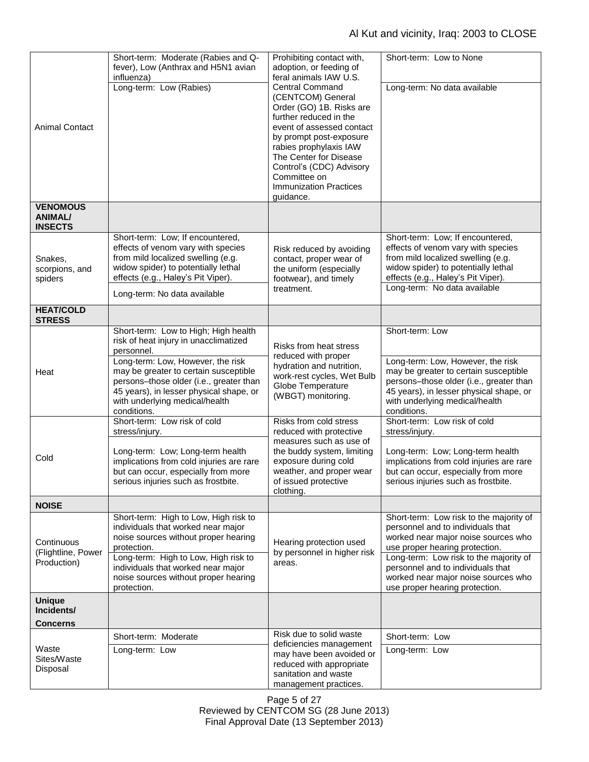# Al Kut and vicinity, Iraq: 2003 to CLOSE

| <b>Animal Contact</b>                               | Short-term: Moderate (Rabies and Q-<br>fever), Low (Anthrax and H5N1 avian<br>influenza)<br>Long-term: Low (Rabies)                                                                                                                                                                                              | Prohibiting contact with,<br>adoption, or feeding of<br>feral animals IAW U.S.<br><b>Central Command</b><br>(CENTCOM) General<br>Order (GO) 1B. Risks are<br>further reduced in the<br>event of assessed contact<br>by prompt post-exposure<br>rabies prophylaxis IAW<br>The Center for Disease<br>Control's (CDC) Advisory<br>Committee on<br><b>Immunization Practices</b><br>guidance. | Short-term: Low to None<br>Long-term: No data available                                                                                                                                                                                                                                                       |
|-----------------------------------------------------|------------------------------------------------------------------------------------------------------------------------------------------------------------------------------------------------------------------------------------------------------------------------------------------------------------------|-------------------------------------------------------------------------------------------------------------------------------------------------------------------------------------------------------------------------------------------------------------------------------------------------------------------------------------------------------------------------------------------|---------------------------------------------------------------------------------------------------------------------------------------------------------------------------------------------------------------------------------------------------------------------------------------------------------------|
| <b>VENOMOUS</b><br><b>ANIMAL/</b><br><b>INSECTS</b> |                                                                                                                                                                                                                                                                                                                  |                                                                                                                                                                                                                                                                                                                                                                                           |                                                                                                                                                                                                                                                                                                               |
| Snakes,<br>scorpions, and<br>spiders                | Short-term: Low; If encountered,<br>effects of venom vary with species<br>from mild localized swelling (e.g.<br>widow spider) to potentially lethal<br>effects (e.g., Haley's Pit Viper).<br>Long-term: No data available                                                                                        | Risk reduced by avoiding<br>contact, proper wear of<br>the uniform (especially<br>footwear), and timely<br>treatment.                                                                                                                                                                                                                                                                     | Short-term: Low; If encountered,<br>effects of venom vary with species<br>from mild localized swelling (e.g.<br>widow spider) to potentially lethal<br>effects (e.g., Haley's Pit Viper).<br>Long-term: No data available                                                                                     |
| <b>HEAT/COLD</b><br><b>STRESS</b>                   |                                                                                                                                                                                                                                                                                                                  |                                                                                                                                                                                                                                                                                                                                                                                           |                                                                                                                                                                                                                                                                                                               |
| Heat                                                | Short-term: Low to High; High health<br>risk of heat injury in unacclimatized<br>personnel.<br>Long-term: Low, However, the risk<br>may be greater to certain susceptible<br>persons-those older (i.e., greater than<br>45 years), in lesser physical shape, or<br>with underlying medical/health<br>conditions. | Risks from heat stress<br>reduced with proper<br>hydration and nutrition,<br>work-rest cycles, Wet Bulb<br>Globe Temperature<br>(WBGT) monitoring.                                                                                                                                                                                                                                        | Short-term: Low<br>Long-term: Low, However, the risk<br>may be greater to certain susceptible<br>persons-those older (i.e., greater than<br>45 years), in lesser physical shape, or<br>with underlying medical/health<br>conditions.                                                                          |
| Cold                                                | Short-term: Low risk of cold<br>stress/injury.<br>Long-term: Low; Long-term health<br>implications from cold injuries are rare<br>but can occur, especially from more<br>serious injuries such as frostbite.                                                                                                     | Risks from cold stress<br>reduced with protective<br>measures such as use of<br>the buddy system, limiting<br>exposure during cold<br>weather, and proper wear<br>of issued protective<br>clothing.                                                                                                                                                                                       | Short-term: Low risk of cold<br>stress/injury.<br>Long-term: Low; Long-term health<br>implications from cold injuries are rare<br>but can occur, especially from more<br>serious injuries such as frostbite.                                                                                                  |
| <b>NOISE</b>                                        |                                                                                                                                                                                                                                                                                                                  |                                                                                                                                                                                                                                                                                                                                                                                           |                                                                                                                                                                                                                                                                                                               |
| Continuous<br>(Flightline, Power<br>Production)     | Short-term: High to Low, High risk to<br>individuals that worked near major<br>noise sources without proper hearing<br>protection.<br>Long-term: High to Low, High risk to<br>individuals that worked near major<br>noise sources without proper hearing<br>protection.                                          | Hearing protection used<br>by personnel in higher risk<br>areas.                                                                                                                                                                                                                                                                                                                          | Short-term: Low risk to the majority of<br>personnel and to individuals that<br>worked near major noise sources who<br>use proper hearing protection.<br>Long-term: Low risk to the majority of<br>personnel and to individuals that<br>worked near major noise sources who<br>use proper hearing protection. |
| <b>Unique</b><br>Incidents/<br><b>Concerns</b>      |                                                                                                                                                                                                                                                                                                                  |                                                                                                                                                                                                                                                                                                                                                                                           |                                                                                                                                                                                                                                                                                                               |
| Waste<br>Sites/Waste<br>Disposal                    | Short-term: Moderate<br>Long-term: Low                                                                                                                                                                                                                                                                           | Risk due to solid waste<br>deficiencies management<br>may have been avoided or<br>reduced with appropriate<br>sanitation and waste<br>management practices.                                                                                                                                                                                                                               | Short-term: Low<br>Long-term: Low                                                                                                                                                                                                                                                                             |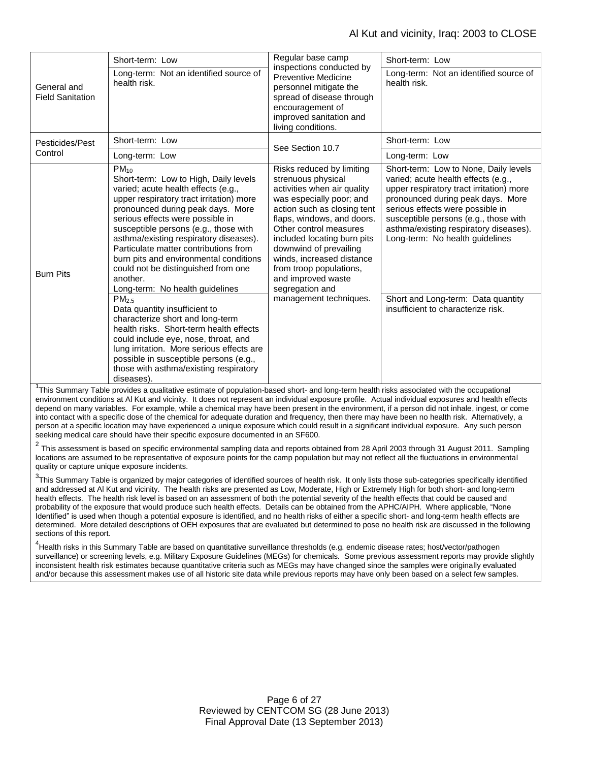| General and<br><b>Field Sanitation</b> | Short-term: Low                                                                                                                                                                                                                                                                                                                                                                                                                                                            | Regular base camp<br>inspections conducted by<br>Preventive Medicine<br>personnel mitigate the<br>spread of disease through<br>encouragement of<br>improved sanitation and<br>living conditions.                                                                                                                                                                                      | Short-term: Low                                                                                                                                                                                                                                                                                                         |
|----------------------------------------|----------------------------------------------------------------------------------------------------------------------------------------------------------------------------------------------------------------------------------------------------------------------------------------------------------------------------------------------------------------------------------------------------------------------------------------------------------------------------|---------------------------------------------------------------------------------------------------------------------------------------------------------------------------------------------------------------------------------------------------------------------------------------------------------------------------------------------------------------------------------------|-------------------------------------------------------------------------------------------------------------------------------------------------------------------------------------------------------------------------------------------------------------------------------------------------------------------------|
|                                        | Long-term: Not an identified source of<br>health risk.                                                                                                                                                                                                                                                                                                                                                                                                                     |                                                                                                                                                                                                                                                                                                                                                                                       | Long-term: Not an identified source of<br>health risk.                                                                                                                                                                                                                                                                  |
| Pesticides/Pest<br>Control             | Short-term: Low                                                                                                                                                                                                                                                                                                                                                                                                                                                            | See Section 10.7                                                                                                                                                                                                                                                                                                                                                                      | Short-term: Low                                                                                                                                                                                                                                                                                                         |
|                                        | Long-term: Low                                                                                                                                                                                                                                                                                                                                                                                                                                                             |                                                                                                                                                                                                                                                                                                                                                                                       | Long-term: Low                                                                                                                                                                                                                                                                                                          |
| <b>Burn Pits</b>                       | $PM_{10}$<br>Short-term: Low to High, Daily levels<br>varied; acute health effects (e.g.,<br>upper respiratory tract irritation) more<br>pronounced during peak days. More<br>serious effects were possible in<br>susceptible persons (e.g., those with<br>asthma/existing respiratory diseases).<br>Particulate matter contributions from<br>burn pits and environmental conditions<br>could not be distinguished from one<br>another.<br>Long-term: No health guidelines | Risks reduced by limiting<br>strenuous physical<br>activities when air quality<br>was especially poor; and<br>action such as closing tent<br>flaps, windows, and doors.<br>Other control measures<br>included locating burn pits<br>downwind of prevailing<br>winds, increased distance<br>from troop populations,<br>and improved waste<br>segregation and<br>management techniques. | Short-term: Low to None, Daily levels<br>varied; acute health effects (e.g.,<br>upper respiratory tract irritation) more<br>pronounced during peak days. More<br>serious effects were possible in<br>susceptible persons (e.g., those with<br>asthma/existing respiratory diseases).<br>Long-term: No health guidelines |
|                                        | PM <sub>2.5</sub><br>Data quantity insufficient to<br>characterize short and long-term<br>health risks. Short-term health effects<br>could include eye, nose, throat, and<br>lung irritation. More serious effects are<br>possible in susceptible persons (e.g.,<br>those with asthma/existing respiratory<br>diseases).                                                                                                                                                   |                                                                                                                                                                                                                                                                                                                                                                                       | Short and Long-term: Data quantity<br>insufficient to characterize risk.                                                                                                                                                                                                                                                |

<sup>1</sup>This Summary Table provides a qualitative estimate of population-based short- and long-term health risks associated with the occupational environment conditions at Al Kut and vicinity. It does not represent an individual exposure profile. Actual individual exposures and health effects depend on many variables. For example, while a chemical may have been present in the environment, if a person did not inhale, ingest, or come into contact with a specific dose of the chemical for adequate duration and frequency, then there may have been no health risk. Alternatively, a person at a specific location may have experienced a unique exposure which could result in a significant individual exposure. Any such person seeking medical care should have their specific exposure documented in an SF600.

 $^2$  This assessment is based on specific environmental sampling data and reports obtained from 28 April 2003 through 31 August 2011. Sampling locations are assumed to be representative of exposure points for the camp population but may not reflect all the fluctuations in environmental quality or capture unique exposure incidents.

 $3$ This Summary Table is organized by major categories of identified sources of health risk. It only lists those sub-categories specifically identified and addressed at Al Kut and vicinity. The health risks are presented as Low, Moderate, High or Extremely High for both short- and long-term health effects. The health risk level is based on an assessment of both the potential severity of the health effects that could be caused and probability of the exposure that would produce such health effects. Details can be obtained from the APHC/AIPH. Where applicable, "None Identified" is used when though a potential exposure is identified, and no health risks of either a specific short- and long-term health effects are determined. More detailed descriptions of OEH exposures that are evaluated but determined to pose no health risk are discussed in the following sections of this report.

<sup>4</sup>Health risks in this Summary Table are based on quantitative surveillance thresholds (e.g. endemic disease rates; host/vector/pathogen surveillance) or screening levels, e.g. Military Exposure Guidelines (MEGs) for chemicals*.* Some previous assessment reports may provide slightly inconsistent health risk estimates because quantitative criteria such as MEGs may have changed since the samples were originally evaluated and/or because this assessment makes use of all historic site data while previous reports may have only been based on a select few samples.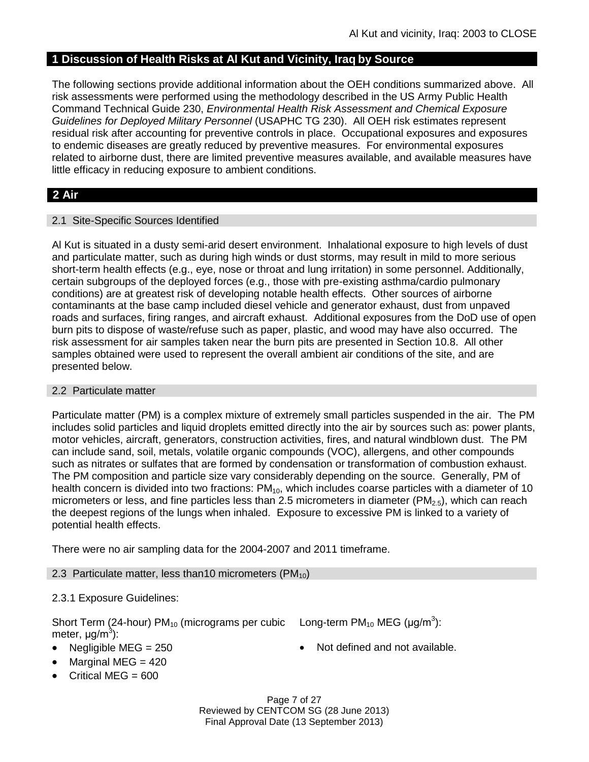# **1 Discussion of Health Risks at Al Kut and Vicinity, Iraq by Source**

The following sections provide additional information about the OEH conditions summarized above. All risk assessments were performed using the methodology described in the US Army Public Health Command Technical Guide 230, *Environmental Health Risk Assessment and Chemical Exposure Guidelines for Deployed Military Personnel* (USAPHC TG 230). All OEH risk estimates represent residual risk after accounting for preventive controls in place. Occupational exposures and exposures to endemic diseases are greatly reduced by preventive measures. For environmental exposures related to airborne dust, there are limited preventive measures available, and available measures have little efficacy in reducing exposure to ambient conditions.

# **2 Air**

### 2.1 Site-Specific Sources Identified

Al Kut is situated in a dusty semi-arid desert environment. Inhalational exposure to high levels of dust and particulate matter, such as during high winds or dust storms, may result in mild to more serious short-term health effects (e.g., eye, nose or throat and lung irritation) in some personnel. Additionally, certain subgroups of the deployed forces (e.g., those with pre-existing asthma/cardio pulmonary conditions) are at greatest risk of developing notable health effects. Other sources of airborne contaminants at the base camp included diesel vehicle and generator exhaust, dust from unpaved roads and surfaces, firing ranges, and aircraft exhaust. Additional exposures from the DoD use of open burn pits to dispose of waste/refuse such as paper, plastic, and wood may have also occurred. The risk assessment for air samples taken near the burn pits are presented in Section 10.8. All other samples obtained were used to represent the overall ambient air conditions of the site, and are presented below.

#### 2.2 Particulate matter

Particulate matter (PM) is a complex mixture of extremely small particles suspended in the air. The PM includes solid particles and liquid droplets emitted directly into the air by sources such as: power plants, motor vehicles, aircraft, generators, construction activities, fires, and natural windblown dust. The PM can include sand, soil, metals, volatile organic compounds (VOC), allergens, and other compounds such as nitrates or sulfates that are formed by condensation or transformation of combustion exhaust. The PM composition and particle size vary considerably depending on the source. Generally, PM of health concern is divided into two fractions:  $PM_{10}$ , which includes coarse particles with a diameter of 10 micrometers or less, and fine particles less than 2.5 micrometers in diameter ( $PM_{2.5}$ ), which can reach the deepest regions of the lungs when inhaled. Exposure to excessive PM is linked to a variety of potential health effects.

There were no air sampling data for the 2004-2007 and 2011 timeframe.

#### 2.3 Particulate matter, less than 10 micrometers ( $PM_{10}$ )

# 2.3.1 Exposure Guidelines:

Short Term (24-hour)  $PM_{10}$  (micrograms per cubic meter, μg/m<sup>3</sup>):

Long-term PM<sub>10</sub> MEG (µg/m<sup>3</sup>):

- 
- Negligible MEG = 250 **a** Not defined and not available.
- Marginal MEG  $= 420$
- Critical MEG = 600

Page 7 of 27 Reviewed by CENTCOM SG (28 June 2013) Final Approval Date (13 September 2013)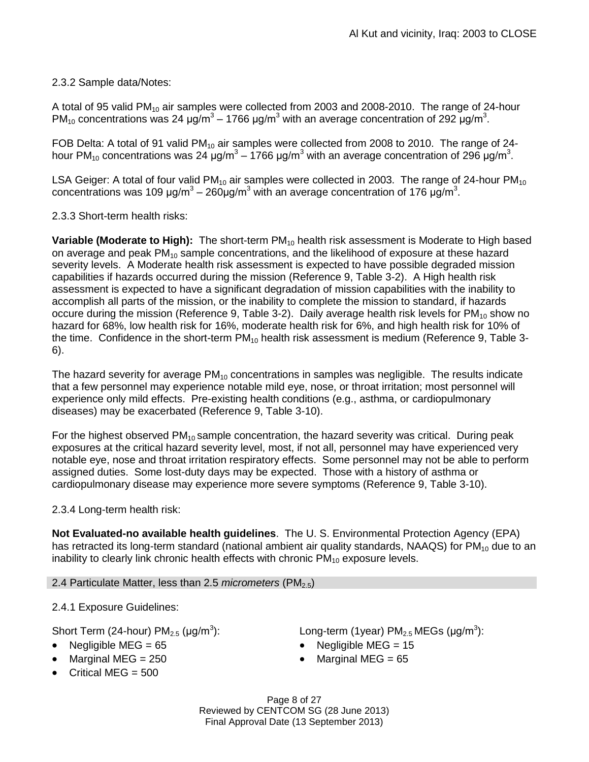# 2.3.2 Sample data/Notes:

A total of 95 valid PM<sub>10</sub> air samples were collected from 2003 and 2008-2010. The range of 24-hour PM<sub>10</sub> concentrations was 24  $\mu$ g/m<sup>3</sup> – 1766  $\mu$ g/m<sup>3</sup> with an average concentration of 292  $\mu$ g/m<sup>3</sup>.

FOB Delta: A total of 91 valid PM<sub>10</sub> air samples were collected from 2008 to 2010. The range of 24hour PM<sub>10</sub> concentrations was 24 μg/m<sup>3</sup> – 1766 μg/m<sup>3</sup> with an average concentration of 296 μg/m<sup>3</sup>.

LSA Geiger: A total of four valid  $PM_{10}$  air samples were collected in 2003. The range of 24-hour  $PM_{10}$ concentrations was 109 μg/m<sup>3</sup> – 260μg/m<sup>3</sup> with an average concentration of 176 μg/m<sup>3</sup>.

2.3.3 Short-term health risks:

**Variable (Moderate to High):** The short-term PM<sub>10</sub> health risk assessment is Moderate to High based on average and peak  $PM_{10}$  sample concentrations, and the likelihood of exposure at these hazard severity levels. A Moderate health risk assessment is expected to have possible degraded mission capabilities if hazards occurred during the mission (Reference 9, Table 3-2). A High health risk assessment is expected to have a significant degradation of mission capabilities with the inability to accomplish all parts of the mission, or the inability to complete the mission to standard, if hazards occure during the mission (Reference 9, Table 3-2). Daily average health risk levels for  $PM_{10}$  show no hazard for 68%, low health risk for 16%, moderate health risk for 6%, and high health risk for 10% of the time. Confidence in the short-term  $PM_{10}$  health risk assessment is medium (Reference 9, Table 3-6).

The hazard severity for average  $PM_{10}$  concentrations in samples was negligible. The results indicate that a few personnel may experience notable mild eye, nose, or throat irritation; most personnel will experience only mild effects. Pre-existing health conditions (e.g., asthma, or cardiopulmonary diseases) may be exacerbated (Reference 9, Table 3-10).

For the highest observed  $PM_{10}$  sample concentration, the hazard severity was critical. During peak exposures at the critical hazard severity level, most, if not all, personnel may have experienced very notable eye, nose and throat irritation respiratory effects. Some personnel may not be able to perform assigned duties. Some lost-duty days may be expected. Those with a history of asthma or cardiopulmonary disease may experience more severe symptoms (Reference 9, Table 3-10).

# 2.3.4 Long-term health risk:

**Not Evaluated-no available health guidelines**. The U. S. Environmental Protection Agency (EPA) has retracted its long-term standard (national ambient air quality standards, NAAQS) for  $PM_{10}$  due to an inability to clearly link chronic health effects with chronic  $PM_{10}$  exposure levels.

2.4 Particulate Matter, less than 2.5 *micrometers* (PM<sub>2.5</sub>)

2.4.1 Exposure Guidelines:

Short Term (24-hour)  $PM_{2.5}$  (µg/m<sup>3</sup>):

- 
- Marginal MEG =  $250$   $\bullet$  Marginal MEG =  $65$
- $\bullet$  Critical MEG = 500

):  $\blacksquare$  Long-term (1year) PM<sub>2.5</sub> MEGs (µg/m<sup>3</sup>):

- Negligible MEG = 65 Negligible MEG = 15
	-

Page 8 of 27 Reviewed by CENTCOM SG (28 June 2013) Final Approval Date (13 September 2013)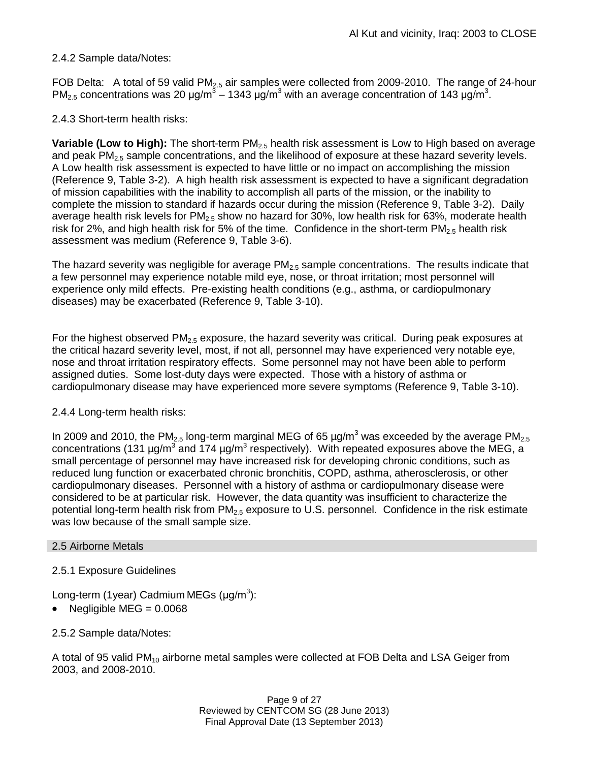# 2.4.2 Sample data/Notes:

FOB Delta: A total of 59 valid PM<sub>2.5</sub> air samples were collected from 2009-2010. The range of 24-hour PM<sub>2.5</sub> concentrations was 20  $\mu$ g/m<sup>3</sup> – 1343  $\mu$ g/m<sup>3</sup> with an average concentration of 143  $\mu$ g/m<sup>3</sup>.

# 2.4.3 Short-term health risks:

**Variable (Low to High):** The short-term PM<sub>2.5</sub> health risk assessment is Low to High based on average and peak  $PM<sub>2.5</sub>$  sample concentrations, and the likelihood of exposure at these hazard severity levels. A Low health risk assessment is expected to have little or no impact on accomplishing the mission (Reference 9, Table 3-2). A high health risk assessment is expected to have a significant degradation of mission capabilities with the inability to accomplish all parts of the mission, or the inability to complete the mission to standard if hazards occur during the mission (Reference 9, Table 3-2). Daily average health risk levels for  $PM<sub>2.5</sub>$  show no hazard for 30%, low health risk for 63%, moderate health risk for 2%, and high health risk for 5% of the time. Confidence in the short-term  $PM_{2.5}$  health risk assessment was medium (Reference 9, Table 3-6).

The hazard severity was negligible for average  $PM<sub>2.5</sub>$  sample concentrations. The results indicate that a few personnel may experience notable mild eye, nose, or throat irritation; most personnel will experience only mild effects. Pre-existing health conditions (e.g., asthma, or cardiopulmonary diseases) may be exacerbated (Reference 9, Table 3-10).

For the highest observed  $PM<sub>2.5</sub>$  exposure, the hazard severity was critical. During peak exposures at the critical hazard severity level, most, if not all, personnel may have experienced very notable eye, nose and throat irritation respiratory effects. Some personnel may not have been able to perform assigned duties. Some lost-duty days were expected. Those with a history of asthma or cardiopulmonary disease may have experienced more severe symptoms (Reference 9, Table 3-10).

# 2.4.4 Long-term health risks:

In 2009 and 2010, the PM<sub>2.5</sub> long-term marginal MEG of 65  $\mu$ g/m<sup>3</sup> was exceeded by the average PM<sub>2.5</sub> concentrations (131 µg/m<sup>3</sup> and 174 µg/m<sup>3</sup> respectively). With repeated exposures above the MEG, a small percentage of personnel may have increased risk for developing chronic conditions, such as reduced lung function or exacerbated chronic bronchitis, COPD, asthma, atherosclerosis, or other cardiopulmonary diseases. Personnel with a history of asthma or cardiopulmonary disease were considered to be at particular risk. However, the data quantity was insufficient to characterize the potential long-term health risk from  $PM_{2.5}$  exposure to U.S. personnel. Confidence in the risk estimate was low because of the small sample size.

# 2.5 Airborne Metals

# 2.5.1 Exposure Guidelines

Long-term (1year) Cadmium MEGs (μg/m<sup>3</sup>):

Negligible  $MEG = 0.0068$ 

2.5.2 Sample data/Notes:

A total of 95 valid PM<sub>10</sub> airborne metal samples were collected at FOB Delta and LSA Geiger from 2003, and 2008-2010.

> Page 9 of 27 Reviewed by CENTCOM SG (28 June 2013) Final Approval Date (13 September 2013)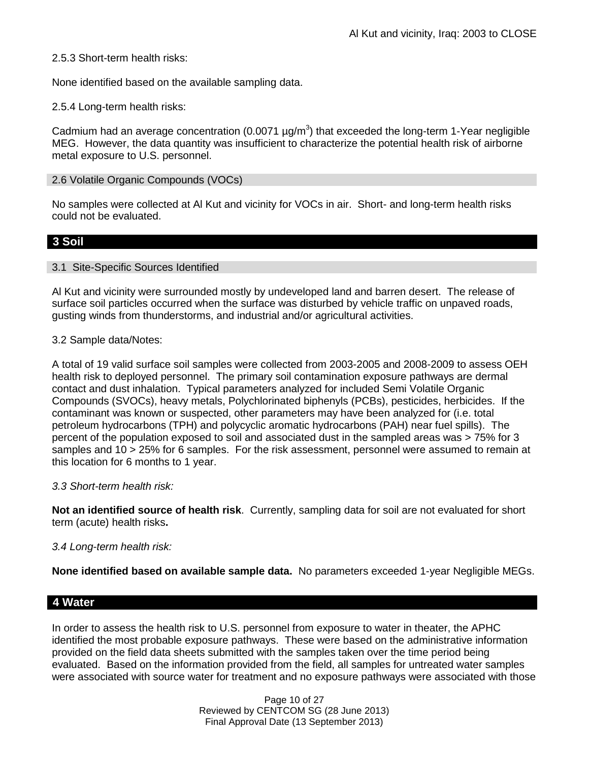2.5.3 Short-term health risks:

None identified based on the available sampling data.

2.5.4 Long-term health risks:

Cadmium had an average concentration (0.0071  $\mu$ g/m<sup>3</sup>) that exceeded the long-term 1-Year negligible MEG. However, the data quantity was insufficient to characterize the potential health risk of airborne metal exposure to U.S. personnel.

#### 2.6 Volatile Organic Compounds (VOCs)

No samples were collected at Al Kut and vicinity for VOCs in air. Short- and long-term health risks could not be evaluated.

# **3 Soil**

#### 3.1 Site-Specific Sources Identified

Al Kut and vicinity were surrounded mostly by undeveloped land and barren desert. The release of surface soil particles occurred when the surface was disturbed by vehicle traffic on unpaved roads, gusting winds from thunderstorms, and industrial and/or agricultural activities.

### 3.2 Sample data/Notes:

A total of 19 valid surface soil samples were collected from 2003-2005 and 2008-2009 to assess OEH health risk to deployed personnel. The primary soil contamination exposure pathways are dermal contact and dust inhalation. Typical parameters analyzed for included Semi Volatile Organic Compounds (SVOCs), heavy metals, Polychlorinated biphenyls (PCBs), pesticides, herbicides. If the contaminant was known or suspected, other parameters may have been analyzed for (i.e. total petroleum hydrocarbons (TPH) and polycyclic aromatic hydrocarbons (PAH) near fuel spills). The percent of the population exposed to soil and associated dust in the sampled areas was > 75% for 3 samples and 10 > 25% for 6 samples. For the risk assessment, personnel were assumed to remain at this location for 6 months to 1 year.

# *3.3 Short-term health risk:*

**Not an identified source of health risk**. Currently, sampling data for soil are not evaluated for short term (acute) health risks**.**

# *3.4 Long-term health risk:*

**None identified based on available sample data.** No parameters exceeded 1-year Negligible MEGs.

# **4 Water**

In order to assess the health risk to U.S. personnel from exposure to water in theater, the APHC identified the most probable exposure pathways. These were based on the administrative information provided on the field data sheets submitted with the samples taken over the time period being evaluated. Based on the information provided from the field, all samples for untreated water samples were associated with source water for treatment and no exposure pathways were associated with those

> Page 10 of 27 Reviewed by CENTCOM SG (28 June 2013) Final Approval Date (13 September 2013)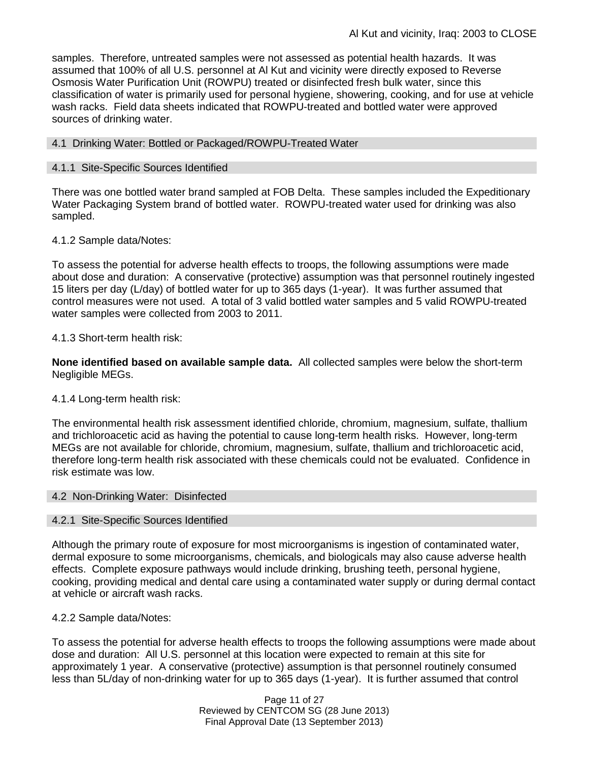samples. Therefore, untreated samples were not assessed as potential health hazards. It was assumed that 100% of all U.S. personnel at Al Kut and vicinity were directly exposed to Reverse Osmosis Water Purification Unit (ROWPU) treated or disinfected fresh bulk water, since this classification of water is primarily used for personal hygiene, showering, cooking, and for use at vehicle wash racks. Field data sheets indicated that ROWPU-treated and bottled water were approved sources of drinking water.

### 4.1 Drinking Water: Bottled or Packaged/ROWPU-Treated Water

### 4.1.1 Site-Specific Sources Identified

There was one bottled water brand sampled at FOB Delta. These samples included the Expeditionary Water Packaging System brand of bottled water. ROWPU-treated water used for drinking was also sampled.

### 4.1.2 Sample data/Notes:

To assess the potential for adverse health effects to troops, the following assumptions were made about dose and duration: A conservative (protective) assumption was that personnel routinely ingested 15 liters per day (L/day) of bottled water for up to 365 days (1-year). It was further assumed that control measures were not used. A total of 3 valid bottled water samples and 5 valid ROWPU-treated water samples were collected from 2003 to 2011.

### 4.1.3 Short-term health risk:

**None identified based on available sample data.** All collected samples were below the short-term Negligible MEGs.

#### 4.1.4 Long-term health risk:

The environmental health risk assessment identified chloride, chromium, magnesium, sulfate, thallium and trichloroacetic acid as having the potential to cause long-term health risks. However, long-term MEGs are not available for chloride, chromium, magnesium, sulfate, thallium and trichloroacetic acid, therefore long-term health risk associated with these chemicals could not be evaluated. Confidence in risk estimate was low.

#### 4.2 Non-Drinking Water: Disinfected

#### 4.2.1 Site-Specific Sources Identified

Although the primary route of exposure for most microorganisms is ingestion of contaminated water, dermal exposure to some microorganisms, chemicals, and biologicals may also cause adverse health effects. Complete exposure pathways would include drinking, brushing teeth, personal hygiene, cooking, providing medical and dental care using a contaminated water supply or during dermal contact at vehicle or aircraft wash racks.

#### 4.2.2 Sample data/Notes:

To assess the potential for adverse health effects to troops the following assumptions were made about dose and duration: All U.S. personnel at this location were expected to remain at this site for approximately 1 year. A conservative (protective) assumption is that personnel routinely consumed less than 5L/day of non-drinking water for up to 365 days (1-year). It is further assumed that control

> Page 11 of 27 Reviewed by CENTCOM SG (28 June 2013) Final Approval Date (13 September 2013)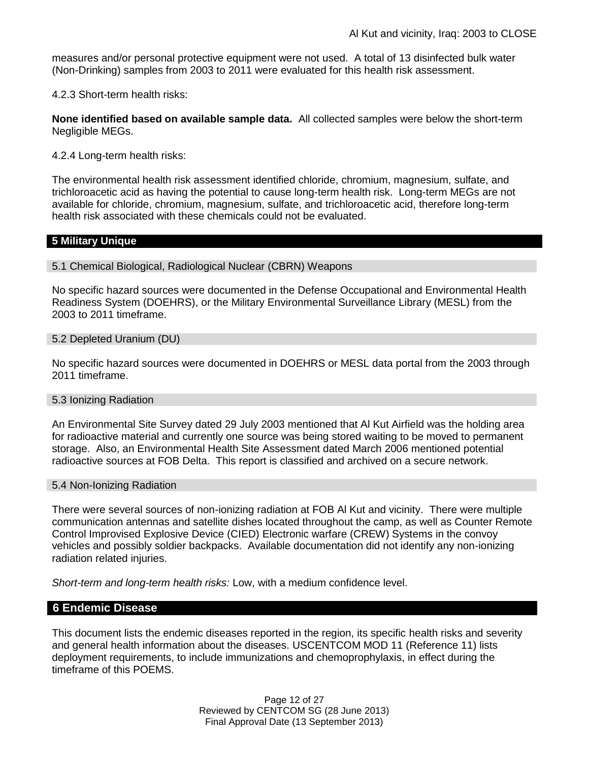measures and/or personal protective equipment were not used. A total of 13 disinfected bulk water (Non-Drinking) samples from 2003 to 2011 were evaluated for this health risk assessment.

4.2.3 Short-term health risks:

**None identified based on available sample data.** All collected samples were below the short-term Negligible MEGs.

4.2.4 Long-term health risks:

The environmental health risk assessment identified chloride, chromium, magnesium, sulfate, and trichloroacetic acid as having the potential to cause long-term health risk. Long-term MEGs are not available for chloride, chromium, magnesium, sulfate, and trichloroacetic acid, therefore long-term health risk associated with these chemicals could not be evaluated.

# **5 Military Unique**

5.1 Chemical Biological, Radiological Nuclear (CBRN) Weapons

No specific hazard sources were documented in the Defense Occupational and Environmental Health Readiness System (DOEHRS), or the Military Environmental Surveillance Library (MESL) from the 2003 to 2011 timeframe.

5.2 Depleted Uranium (DU)

No specific hazard sources were documented in DOEHRS or MESL data portal from the 2003 through 2011 timeframe.

#### 5.3 Ionizing Radiation

An Environmental Site Survey dated 29 July 2003 mentioned that Al Kut Airfield was the holding area for radioactive material and currently one source was being stored waiting to be moved to permanent storage. Also, an Environmental Health Site Assessment dated March 2006 mentioned potential radioactive sources at FOB Delta. This report is classified and archived on a secure network.

#### 5.4 Non-Ionizing Radiation

There were several sources of non-ionizing radiation at FOB Al Kut and vicinity. There were multiple communication antennas and satellite dishes located throughout the camp, as well as Counter Remote Control Improvised Explosive Device (CIED) Electronic warfare (CREW) Systems in the convoy vehicles and possibly soldier backpacks. Available documentation did not identify any non-ionizing radiation related injuries.

*Short-term and long-term health risks:* Low, with a medium confidence level.

#### **6 Endemic Disease**

This document lists the endemic diseases reported in the region, its specific health risks and severity and general health information about the diseases. USCENTCOM MOD 11 (Reference 11) lists deployment requirements, to include immunizations and chemoprophylaxis, in effect during the timeframe of this POEMS.

> Page 12 of 27 Reviewed by CENTCOM SG (28 June 2013) Final Approval Date (13 September 2013)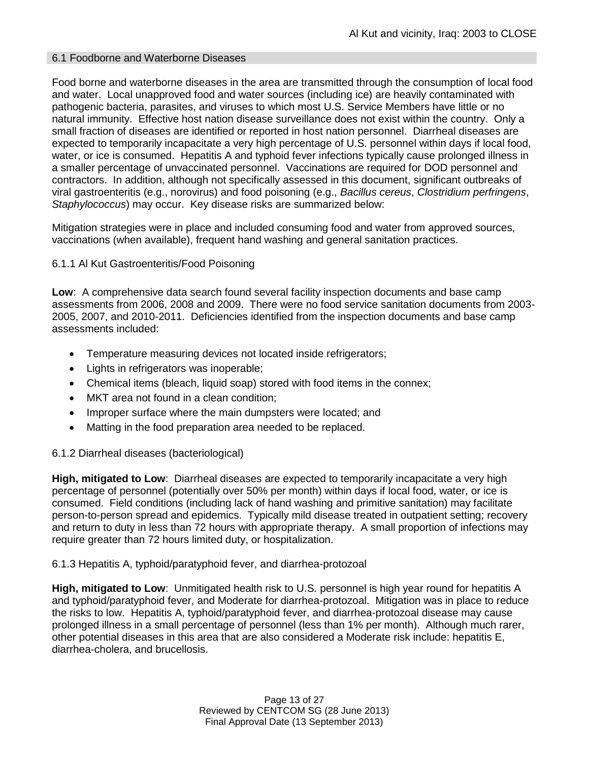# 6.1 Foodborne and Waterborne Diseases

Food borne and waterborne diseases in the area are transmitted through the consumption of local food and water. Local unapproved food and water sources (including ice) are heavily contaminated with pathogenic bacteria, parasites, and viruses to which most U.S. Service Members have little or no natural immunity. Effective host nation disease surveillance does not exist within the country. Only a small fraction of diseases are identified or reported in host nation personnel. Diarrheal diseases are expected to temporarily incapacitate a very high percentage of U.S. personnel within days if local food, water, or ice is consumed. Hepatitis A and typhoid fever infections typically cause prolonged illness in a smaller percentage of unvaccinated personnel. Vaccinations are required for DOD personnel and contractors. In addition, although not specifically assessed in this document, significant outbreaks of viral gastroenteritis (e.g., norovirus) and food poisoning (e.g., *Bacillus cereus*, *Clostridium perfringens*, *Staphylococcus*) may occur. Key disease risks are summarized below:

Mitigation strategies were in place and included consuming food and water from approved sources, vaccinations (when available), frequent hand washing and general sanitation practices.

### 6.1.1 Al Kut Gastroenteritis/Food Poisoning

**Low**: A comprehensive data search found several facility inspection documents and base camp assessments from 2006, 2008 and 2009. There were no food service sanitation documents from 2003- 2005, 2007, and 2010-2011. Deficiencies identified from the inspection documents and base camp assessments included:

- **•** Temperature measuring devices not located inside refrigerators;
- Lights in refrigerators was inoperable;
- Chemical items (bleach, liquid soap) stored with food items in the connex;
- MKT area not found in a clean condition;
- Improper surface where the main dumpsters were located; and
- Matting in the food preparation area needed to be replaced.

#### 6.1.2 Diarrheal diseases (bacteriological)

**High, mitigated to Low**: Diarrheal diseases are expected to temporarily incapacitate a very high percentage of personnel (potentially over 50% per month) within days if local food, water, or ice is consumed. Field conditions (including lack of hand washing and primitive sanitation) may facilitate person-to-person spread and epidemics. Typically mild disease treated in outpatient setting; recovery and return to duty in less than 72 hours with appropriate therapy. A small proportion of infections may require greater than 72 hours limited duty, or hospitalization.

#### 6.1.3 Hepatitis A, typhoid/paratyphoid fever, and diarrhea-protozoal

**High, mitigated to Low**: Unmitigated health risk to U.S. personnel is high year round for hepatitis A and typhoid/paratyphoid fever, and Moderate for diarrhea-protozoal. Mitigation was in place to reduce the risks to low. Hepatitis A, typhoid/paratyphoid fever, and diarrhea-protozoal disease may cause prolonged illness in a small percentage of personnel (less than 1% per month). Although much rarer, other potential diseases in this area that are also considered a Moderate risk include: hepatitis E, diarrhea-cholera, and brucellosis.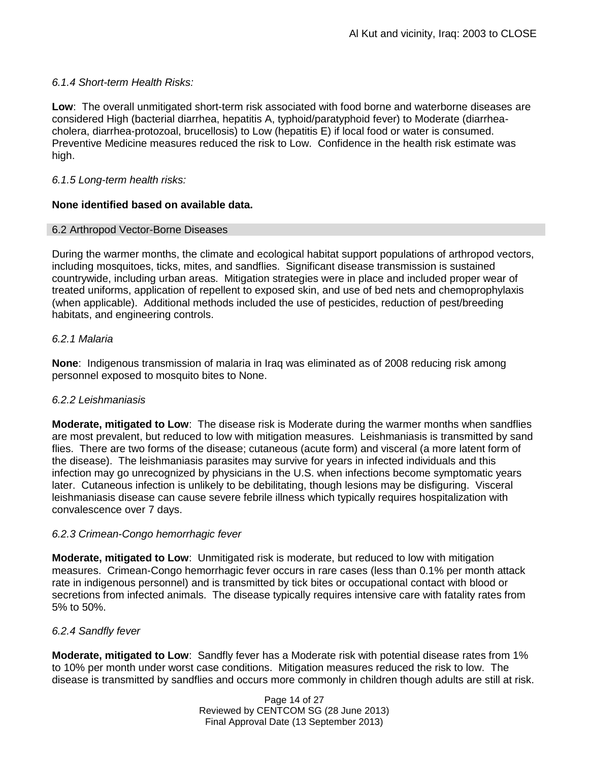# *6.1.4 Short-term Health Risks:*

**Low**: The overall unmitigated short-term risk associated with food borne and waterborne diseases are considered High (bacterial diarrhea, hepatitis A, typhoid/paratyphoid fever) to Moderate (diarrheacholera, diarrhea-protozoal, brucellosis) to Low (hepatitis E) if local food or water is consumed. Preventive Medicine measures reduced the risk to Low. Confidence in the health risk estimate was high.

# *6.1.5 Long-term health risks:*

### **None identified based on available data.**

#### 6.2 Arthropod Vector-Borne Diseases

During the warmer months, the climate and ecological habitat support populations of arthropod vectors, including mosquitoes, ticks, mites, and sandflies. Significant disease transmission is sustained countrywide, including urban areas. Mitigation strategies were in place and included proper wear of treated uniforms, application of repellent to exposed skin, and use of bed nets and chemoprophylaxis (when applicable). Additional methods included the use of pesticides, reduction of pest/breeding habitats, and engineering controls.

### *6.2.1 Malaria*

**None**: Indigenous transmission of malaria in Iraq was eliminated as of 2008 reducing risk among personnel exposed to mosquito bites to None.

#### *6.2.2 Leishmaniasis*

**Moderate, mitigated to Low**: The disease risk is Moderate during the warmer months when sandflies are most prevalent, but reduced to low with mitigation measures. Leishmaniasis is transmitted by sand flies. There are two forms of the disease; cutaneous (acute form) and visceral (a more latent form of the disease). The leishmaniasis parasites may survive for years in infected individuals and this infection may go unrecognized by physicians in the U.S. when infections become symptomatic years later. Cutaneous infection is unlikely to be debilitating, though lesions may be disfiguring. Visceral leishmaniasis disease can cause severe febrile illness which typically requires hospitalization with convalescence over 7 days.

#### *6.2.3 Crimean-Congo hemorrhagic fever*

**Moderate, mitigated to Low**: Unmitigated risk is moderate, but reduced to low with mitigation measures. Crimean-Congo hemorrhagic fever occurs in rare cases (less than 0.1% per month attack rate in indigenous personnel) and is transmitted by tick bites or occupational contact with blood or secretions from infected animals. The disease typically requires intensive care with fatality rates from 5% to 50%.

# *6.2.4 Sandfly fever*

**Moderate, mitigated to Low**: Sandfly fever has a Moderate risk with potential disease rates from 1% to 10% per month under worst case conditions. Mitigation measures reduced the risk to low. The disease is transmitted by sandflies and occurs more commonly in children though adults are still at risk.

> Page 14 of 27 Reviewed by CENTCOM SG (28 June 2013) Final Approval Date (13 September 2013)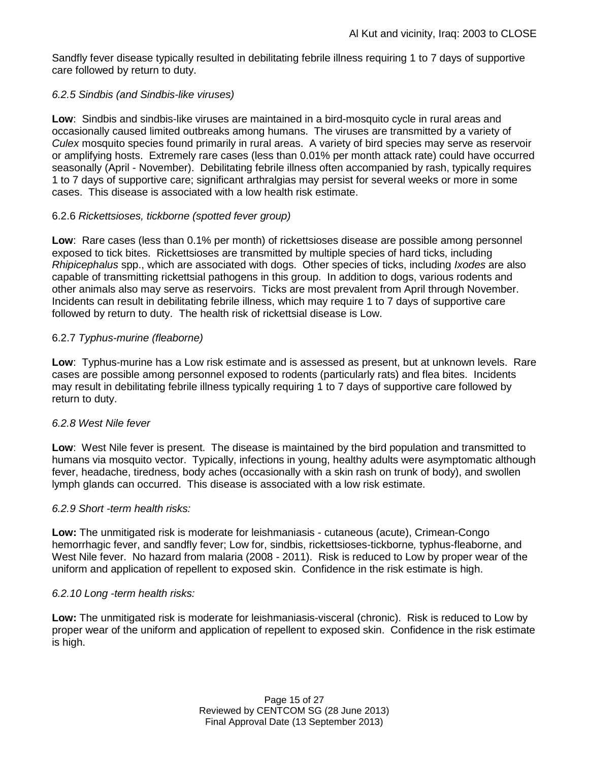Sandfly fever disease typically resulted in debilitating febrile illness requiring 1 to 7 days of supportive care followed by return to duty.

# *6.2.5 Sindbis (and Sindbis-like viruses)*

**Low**: Sindbis and sindbis-like viruses are maintained in a bird-mosquito cycle in rural areas and occasionally caused limited outbreaks among humans. The viruses are transmitted by a variety of *Culex* mosquito species found primarily in rural areas. A variety of bird species may serve as reservoir or amplifying hosts. Extremely rare cases (less than 0.01% per month attack rate) could have occurred seasonally (April - November). Debilitating febrile illness often accompanied by rash, typically requires 1 to 7 days of supportive care; significant arthralgias may persist for several weeks or more in some cases. This disease is associated with a low health risk estimate.

# 6.2.6 *Rickettsioses, tickborne (spotted fever group)*

**Low**: Rare cases (less than 0.1% per month) of rickettsioses disease are possible among personnel exposed to tick bites. Rickettsioses are transmitted by multiple species of hard ticks, including *Rhipicephalus* spp., which are associated with dogs. Other species of ticks, including *Ixodes* are also capable of transmitting rickettsial pathogens in this group. In addition to dogs, various rodents and other animals also may serve as reservoirs. Ticks are most prevalent from April through November. Incidents can result in debilitating febrile illness, which may require 1 to 7 days of supportive care followed by return to duty. The health risk of rickettsial disease is Low.

# 6.2.7 *Typhus-murine (fleaborne)*

**Low**: Typhus-murine has a Low risk estimate and is assessed as present, but at unknown levels. Rare cases are possible among personnel exposed to rodents (particularly rats) and flea bites. Incidents may result in debilitating febrile illness typically requiring 1 to 7 days of supportive care followed by return to duty.

#### *6.2.8 West Nile fever*

**Low**: West Nile fever is present. The disease is maintained by the bird population and transmitted to humans via mosquito vector. Typically, infections in young, healthy adults were asymptomatic although fever, headache, tiredness, body aches (occasionally with a skin rash on trunk of body), and swollen lymph glands can occurred. This disease is associated with a low risk estimate.

#### *6.2.9 Short -term health risks:*

**Low:** The unmitigated risk is moderate for leishmaniasis - cutaneous (acute), Crimean-Congo hemorrhagic fever, and sandfly fever; Low for, sindbis, rickettsioses-tickborne*,* typhus-fleaborne, and West Nile fever. No hazard from malaria (2008 - 2011). Risk is reduced to Low by proper wear of the uniform and application of repellent to exposed skin. Confidence in the risk estimate is high.

#### *6.2.10 Long -term health risks:*

**Low:** The unmitigated risk is moderate for leishmaniasis-visceral (chronic). Risk is reduced to Low by proper wear of the uniform and application of repellent to exposed skin. Confidence in the risk estimate is high.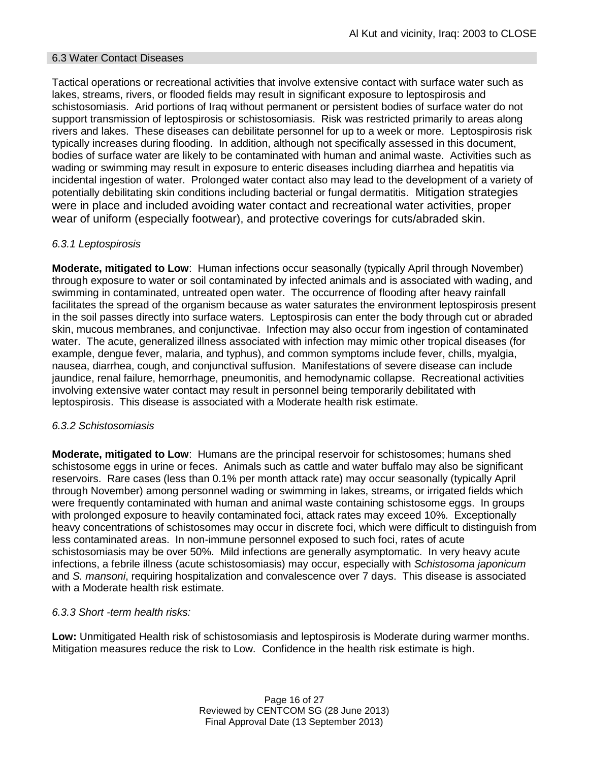### 6.3 Water Contact Diseases

Tactical operations or recreational activities that involve extensive contact with surface water such as lakes, streams, rivers, or flooded fields may result in significant exposure to leptospirosis and schistosomiasis. Arid portions of Iraq without permanent or persistent bodies of surface water do not support transmission of leptospirosis or schistosomiasis. Risk was restricted primarily to areas along rivers and lakes. These diseases can debilitate personnel for up to a week or more. Leptospirosis risk typically increases during flooding. In addition, although not specifically assessed in this document, bodies of surface water are likely to be contaminated with human and animal waste. Activities such as wading or swimming may result in exposure to enteric diseases including diarrhea and hepatitis via incidental ingestion of water. Prolonged water contact also may lead to the development of a variety of potentially debilitating skin conditions including bacterial or fungal dermatitis. Mitigation strategies were in place and included avoiding water contact and recreational water activities, proper wear of uniform (especially footwear), and protective coverings for cuts/abraded skin.

### *6.3.1 Leptospirosis*

**Moderate, mitigated to Low**: Human infections occur seasonally (typically April through November) through exposure to water or soil contaminated by infected animals and is associated with wading, and swimming in contaminated, untreated open water. The occurrence of flooding after heavy rainfall facilitates the spread of the organism because as water saturates the environment leptospirosis present in the soil passes directly into surface waters. Leptospirosis can enter the body through cut or abraded skin, mucous membranes, and conjunctivae. Infection may also occur from ingestion of contaminated water. The acute, generalized illness associated with infection may mimic other tropical diseases (for example, dengue fever, malaria, and typhus), and common symptoms include fever, chills, myalgia, nausea, diarrhea, cough, and conjunctival suffusion. Manifestations of severe disease can include jaundice, renal failure, hemorrhage, pneumonitis, and hemodynamic collapse. Recreational activities involving extensive water contact may result in personnel being temporarily debilitated with leptospirosis. This disease is associated with a Moderate health risk estimate.

#### *6.3.2 Schistosomiasis*

**Moderate, mitigated to Low**: Humans are the principal reservoir for schistosomes; humans shed schistosome eggs in urine or feces. Animals such as cattle and water buffalo may also be significant reservoirs. Rare cases (less than 0.1% per month attack rate) may occur seasonally (typically April through November) among personnel wading or swimming in lakes, streams, or irrigated fields which were frequently contaminated with human and animal waste containing schistosome eggs. In groups with prolonged exposure to heavily contaminated foci, attack rates may exceed 10%. Exceptionally heavy concentrations of schistosomes may occur in discrete foci, which were difficult to distinguish from less contaminated areas. In non-immune personnel exposed to such foci, rates of acute schistosomiasis may be over 50%. Mild infections are generally asymptomatic. In very heavy acute infections, a febrile illness (acute schistosomiasis) may occur, especially with *Schistosoma japonicum*  and *S. mansoni*, requiring hospitalization and convalescence over 7 days. This disease is associated with a Moderate health risk estimate.

#### *6.3.3 Short -term health risks:*

**Low:** Unmitigated Health risk of schistosomiasis and leptospirosis is Moderate during warmer months. Mitigation measures reduce the risk to Low. Confidence in the health risk estimate is high.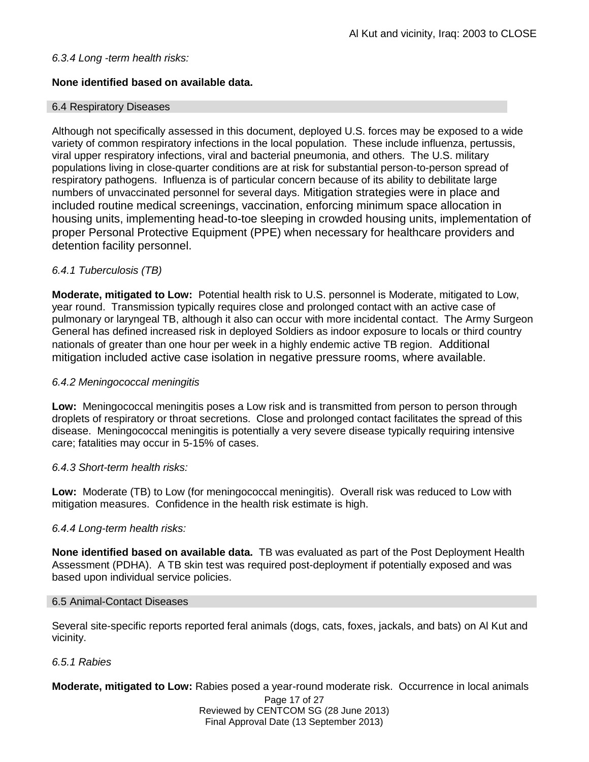# *6.3.4 Long -term health risks:*

# **None identified based on available data.**

#### 6.4 Respiratory Diseases

Although not specifically assessed in this document, deployed U.S. forces may be exposed to a wide variety of common respiratory infections in the local population. These include influenza, pertussis, viral upper respiratory infections, viral and bacterial pneumonia, and others. The U.S. military populations living in close-quarter conditions are at risk for substantial person-to-person spread of respiratory pathogens. Influenza is of particular concern because of its ability to debilitate large numbers of unvaccinated personnel for several days. Mitigation strategies were in place and included routine medical screenings, vaccination, enforcing minimum space allocation in housing units, implementing head-to-toe sleeping in crowded housing units, implementation of proper Personal Protective Equipment (PPE) when necessary for healthcare providers and detention facility personnel.

# *6.4.1 Tuberculosis (TB)*

**Moderate, mitigated to Low:** Potential health risk to U.S. personnel is Moderate, mitigated to Low, year round. Transmission typically requires close and prolonged contact with an active case of pulmonary or laryngeal TB, although it also can occur with more incidental contact. The Army Surgeon General has defined increased risk in deployed Soldiers as indoor exposure to locals or third country nationals of greater than one hour per week in a highly endemic active TB region. Additional mitigation included active case isolation in negative pressure rooms, where available.

### *6.4.2 Meningococcal meningitis*

**Low:** Meningococcal meningitis poses a Low risk and is transmitted from person to person through droplets of respiratory or throat secretions. Close and prolonged contact facilitates the spread of this disease. Meningococcal meningitis is potentially a very severe disease typically requiring intensive care; fatalities may occur in 5-15% of cases.

#### *6.4.3 Short-term health risks:*

**Low:** Moderate (TB) to Low (for meningococcal meningitis). Overall risk was reduced to Low with mitigation measures. Confidence in the health risk estimate is high.

#### *6.4.4 Long-term health risks:*

**None identified based on available data.** TB was evaluated as part of the Post Deployment Health Assessment (PDHA). A TB skin test was required post-deployment if potentially exposed and was based upon individual service policies.

#### 6.5 Animal-Contact Diseases

Several site-specific reports reported feral animals (dogs, cats, foxes, jackals, and bats) on Al Kut and vicinity.

#### *6.5.1 Rabies*

**Moderate, mitigated to Low:** Rabies posed a year-round moderate risk. Occurrence in local animals

Page 17 of 27 Reviewed by CENTCOM SG (28 June 2013) Final Approval Date (13 September 2013)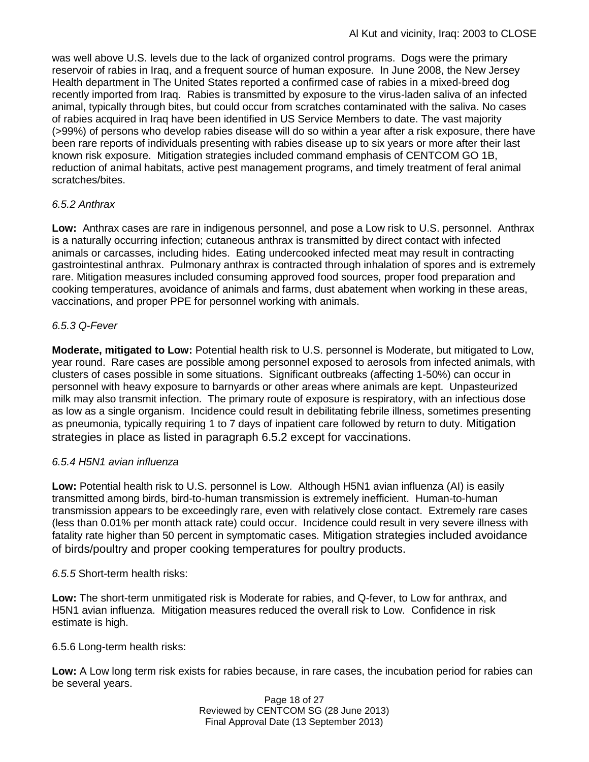was well above U.S. levels due to the lack of organized control programs. Dogs were the primary reservoir of rabies in Iraq, and a frequent source of human exposure. In June 2008, the New Jersey Health department in The United States reported a confirmed case of rabies in a mixed-breed dog recently imported from Iraq. Rabies is transmitted by exposure to the virus-laden saliva of an infected animal, typically through bites, but could occur from scratches contaminated with the saliva. No cases of rabies acquired in Iraq have been identified in US Service Members to date. The vast majority (>99%) of persons who develop rabies disease will do so within a year after a risk exposure, there have been rare reports of individuals presenting with rabies disease up to six years or more after their last known risk exposure. Mitigation strategies included command emphasis of CENTCOM GO 1B, reduction of animal habitats, active pest management programs, and timely treatment of feral animal scratches/bites.

# *6.5.2 Anthrax*

**Low:** Anthrax cases are rare in indigenous personnel, and pose a Low risk to U.S. personnel. Anthrax is a naturally occurring infection; cutaneous anthrax is transmitted by direct contact with infected animals or carcasses, including hides. Eating undercooked infected meat may result in contracting gastrointestinal anthrax. Pulmonary anthrax is contracted through inhalation of spores and is extremely rare. Mitigation measures included consuming approved food sources, proper food preparation and cooking temperatures, avoidance of animals and farms, dust abatement when working in these areas, vaccinations, and proper PPE for personnel working with animals.

# *6.5.3 Q-Fever*

**Moderate, mitigated to Low:** Potential health risk to U.S. personnel is Moderate, but mitigated to Low, year round. Rare cases are possible among personnel exposed to aerosols from infected animals, with clusters of cases possible in some situations. Significant outbreaks (affecting 1-50%) can occur in personnel with heavy exposure to barnyards or other areas where animals are kept. Unpasteurized milk may also transmit infection. The primary route of exposure is respiratory, with an infectious dose as low as a single organism. Incidence could result in debilitating febrile illness, sometimes presenting as pneumonia, typically requiring 1 to 7 days of inpatient care followed by return to duty. Mitigation strategies in place as listed in paragraph 6.5.2 except for vaccinations.

# *6.5.4 H5N1 avian influenza*

**Low:** Potential health risk to U.S. personnel is Low. Although H5N1 avian influenza (AI) is easily transmitted among birds, bird-to-human transmission is extremely inefficient. Human-to-human transmission appears to be exceedingly rare, even with relatively close contact. Extremely rare cases (less than 0.01% per month attack rate) could occur. Incidence could result in very severe illness with fatality rate higher than 50 percent in symptomatic cases. Mitigation strategies included avoidance of birds/poultry and proper cooking temperatures for poultry products.

# *6.5.5* Short-term health risks:

**Low:** The short-term unmitigated risk is Moderate for rabies, and Q-fever, to Low for anthrax, and H5N1 avian influenza. Mitigation measures reduced the overall risk to Low.Confidence in risk estimate is high.

# 6.5.6 Long-term health risks:

**Low:** A Low long term risk exists for rabies because, in rare cases, the incubation period for rabies can be several years.

> Page 18 of 27 Reviewed by CENTCOM SG (28 June 2013) Final Approval Date (13 September 2013)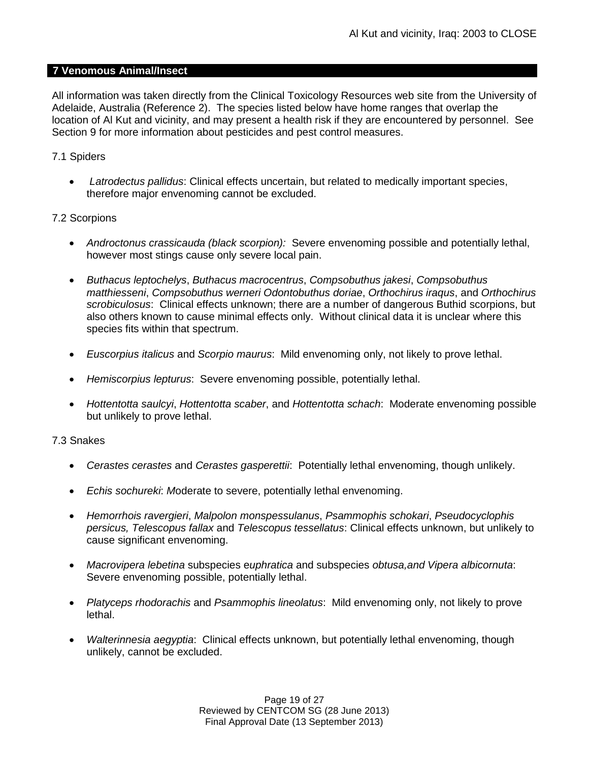### **7 Venomous Animal/Insect**

All information was taken directly from the Clinical Toxicology Resources web site from the University of Adelaide, Australia (Reference 2). The species listed below have home ranges that overlap the location of Al Kut and vicinity, and may present a health risk if they are encountered by personnel. See Section 9 for more information about pesticides and pest control measures.

# 7.1 Spiders

 *Latrodectus pallidus*: Clinical effects uncertain, but related to medically important species, therefore major envenoming cannot be excluded.

### 7.2 Scorpions

- *Androctonus crassicauda (black scorpion):* Severe envenoming possible and potentially lethal, however most stings cause only severe local pain.
- *Buthacus leptochelys*, *Buthacus macrocentrus*, *Compsobuthus jakesi*, *Compsobuthus matthiesseni*, *Compsobuthus werneri Odontobuthus doriae*, *Orthochirus iraqus*, and *Orthochirus scrobiculosus*: Clinical effects unknown; there are a number of dangerous Buthid scorpions, but also others known to cause minimal effects only. Without clinical data it is unclear where this species fits within that spectrum.
- *Euscorpius italicus* and *Scorpio maurus*: Mild envenoming only, not likely to prove lethal.
- *Hemiscorpius lepturus*: Severe envenoming possible, potentially lethal.
- *Hottentotta saulcyi*, *Hottentotta scaber*, and *Hottentotta schach*: Moderate envenoming possible but unlikely to prove lethal.

#### 7.3 Snakes

- *Cerastes cerastes* and *Cerastes gasperettii*: Potentially lethal envenoming, though unlikely.
- *Echis sochureki*: *M*oderate to severe, potentially lethal envenoming.
- *Hemorrhois ravergieri*, *Malpolon monspessulanus*, *Psammophis schokari*, *Pseudocyclophis persicus, Telescopus fallax* and *Telescopus tessellatus*: Clinical effects unknown, but unlikely to cause significant envenoming.
- *Macrovipera lebetina* subspecies e*uphratica* and subspecies *obtusa,and Vipera albicornuta*: Severe envenoming possible, potentially lethal.
- *Platyceps rhodorachis* and *Psammophis lineolatus*: Mild envenoming only, not likely to prove lethal.
- *Walterinnesia aegyptia*: Clinical effects unknown, but potentially lethal envenoming, though unlikely, cannot be excluded.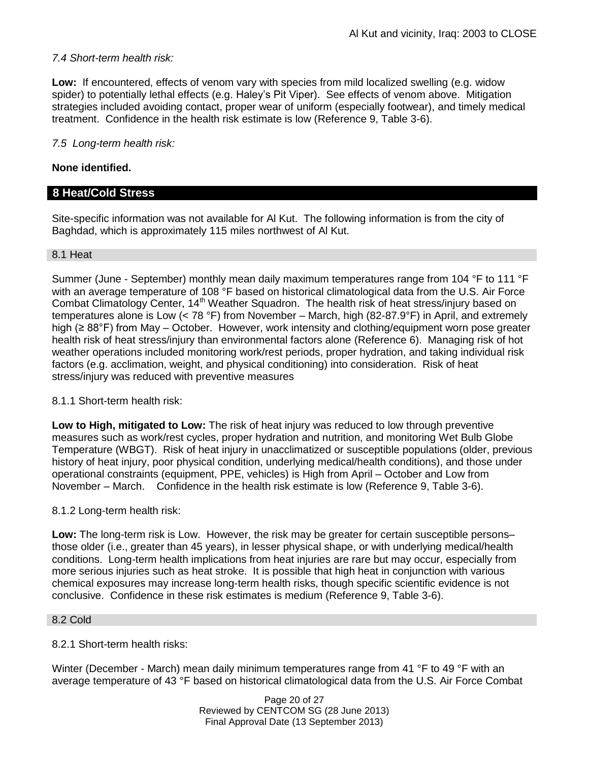# *7.4 Short-term health risk:*

**Low:** If encountered, effects of venom vary with species from mild localized swelling (e.g. widow spider) to potentially lethal effects (e.g. Haley's Pit Viper). See effects of venom above. Mitigation strategies included avoiding contact, proper wear of uniform (especially footwear), and timely medical treatment. Confidence in the health risk estimate is low (Reference 9, Table 3-6).

# *7.5 Long-term health risk:*

# **None identified.**

# **8 Heat/Cold Stress**

Site-specific information was not available for Al Kut. The following information is from the city of Baghdad, which is approximately 115 miles northwest of Al Kut.

#### 8.1 Heat

Summer (June - September) monthly mean daily maximum temperatures range from 104 °F to 111 °F with an average temperature of 108 °F based on historical climatological data from the U.S. Air Force Combat Climatology Center, 14<sup>th</sup> Weather Squadron. The health risk of heat stress/injury based on temperatures alone is Low (< 78 °F) from November – March, high (82-87.9°F) in April, and extremely high (≥ 88°F) from May – October. However, work intensity and clothing/equipment worn pose greater health risk of heat stress/injury than environmental factors alone (Reference 6). Managing risk of hot weather operations included monitoring work/rest periods, proper hydration, and taking individual risk factors (e.g. acclimation, weight, and physical conditioning) into consideration. Risk of heat stress/injury was reduced with preventive measures

#### 8.1.1 Short-term health risk:

**Low to High, mitigated to Low:** The risk of heat injury was reduced to low through preventive measures such as work/rest cycles, proper hydration and nutrition, and monitoring Wet Bulb Globe Temperature (WBGT). Risk of heat injury in unacclimatized or susceptible populations (older, previous history of heat injury, poor physical condition, underlying medical/health conditions), and those under operational constraints (equipment, PPE, vehicles) is High from April – October and Low from November – March. Confidence in the health risk estimate is low (Reference 9, Table 3-6).

#### 8.1.2 Long-term health risk:

**Low:** The long-term risk is Low. However, the risk may be greater for certain susceptible persons– those older (i.e., greater than 45 years), in lesser physical shape, or with underlying medical/health conditions. Long-term health implications from heat injuries are rare but may occur, especially from more serious injuries such as heat stroke. It is possible that high heat in conjunction with various chemical exposures may increase long-term health risks, though specific scientific evidence is not conclusive. Confidence in these risk estimates is medium (Reference 9, Table 3-6).

#### 8.2 Cold

#### 8.2.1 Short-term health risks:

Winter (December - March) mean daily minimum temperatures range from 41 °F to 49 °F with an average temperature of 43 °F based on historical climatological data from the U.S. Air Force Combat

> Page 20 of 27 Reviewed by CENTCOM SG (28 June 2013) Final Approval Date (13 September 2013)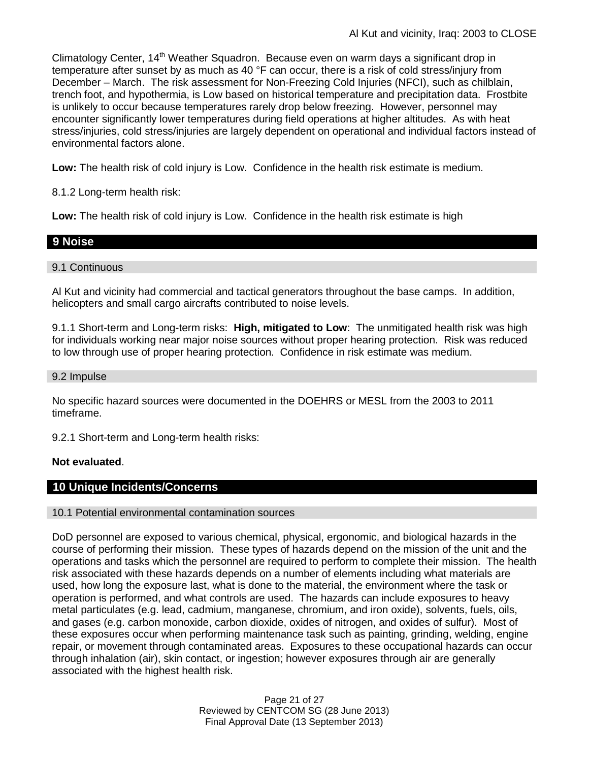Climatology Center, 14<sup>th</sup> Weather Squadron. Because even on warm days a significant drop in temperature after sunset by as much as 40 °F can occur, there is a risk of cold stress/injury from December – March. The risk assessment for Non-Freezing Cold Injuries (NFCI), such as chilblain, trench foot, and hypothermia, is Low based on historical temperature and precipitation data. Frostbite is unlikely to occur because temperatures rarely drop below freezing. However, personnel may encounter significantly lower temperatures during field operations at higher altitudes. As with heat stress/injuries, cold stress/injuries are largely dependent on operational and individual factors instead of environmental factors alone.

**Low:** The health risk of cold injury is Low. Confidence in the health risk estimate is medium.

8.1.2 Long-term health risk:

**Low:** The health risk of cold injury is Low. Confidence in the health risk estimate is high

# **9 Noise**

#### 9.1 Continuous

Al Kut and vicinity had commercial and tactical generators throughout the base camps. In addition, helicopters and small cargo aircrafts contributed to noise levels.

9.1.1 Short-term and Long-term risks: **High, mitigated to Low**: The unmitigated health risk was high for individuals working near major noise sources without proper hearing protection. Risk was reduced to low through use of proper hearing protection. Confidence in risk estimate was medium.

#### 9.2 Impulse

No specific hazard sources were documented in the DOEHRS or MESL from the 2003 to 2011 timeframe.

9.2.1 Short-term and Long-term health risks:

#### **Not evaluated**.

# **10 Unique Incidents/Concerns**

10.1 Potential environmental contamination sources

DoD personnel are exposed to various chemical, physical, ergonomic, and biological hazards in the course of performing their mission. These types of hazards depend on the mission of the unit and the operations and tasks which the personnel are required to perform to complete their mission. The health risk associated with these hazards depends on a number of elements including what materials are used, how long the exposure last, what is done to the material, the environment where the task or operation is performed, and what controls are used. The hazards can include exposures to heavy metal particulates (e.g. lead, cadmium, manganese, chromium, and iron oxide), solvents, fuels, oils, and gases (e.g. carbon monoxide, carbon dioxide, oxides of nitrogen, and oxides of sulfur). Most of these exposures occur when performing maintenance task such as painting, grinding, welding, engine repair, or movement through contaminated areas. Exposures to these occupational hazards can occur through inhalation (air), skin contact, or ingestion; however exposures through air are generally associated with the highest health risk.

> Page 21 of 27 Reviewed by CENTCOM SG (28 June 2013) Final Approval Date (13 September 2013)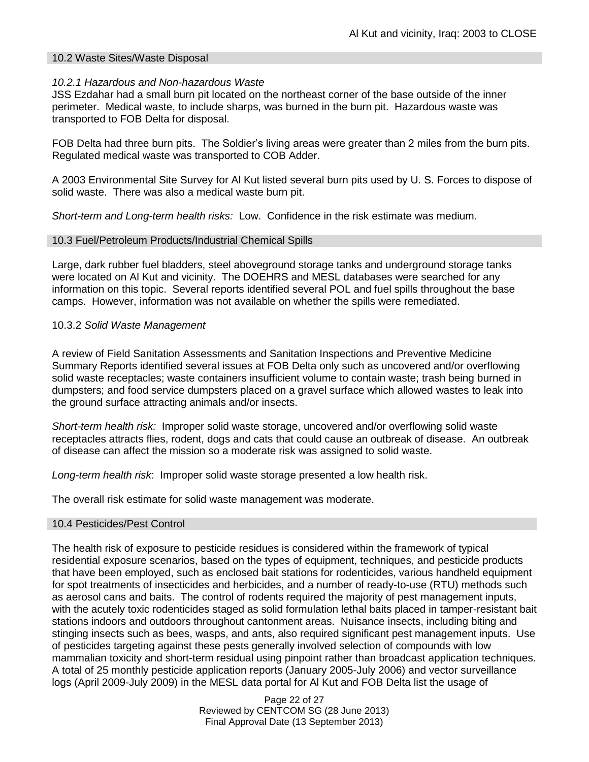#### 10.2 Waste Sites/Waste Disposal

#### *10.2.1 Hazardous and Non-hazardous Waste*

JSS Ezdahar had a small burn pit located on the northeast corner of the base outside of the inner perimeter. Medical waste, to include sharps, was burned in the burn pit. Hazardous waste was transported to FOB Delta for disposal.

FOB Delta had three burn pits. The Soldier's living areas were greater than 2 miles from the burn pits. Regulated medical waste was transported to COB Adder.

A 2003 Environmental Site Survey for Al Kut listed several burn pits used by U. S. Forces to dispose of solid waste. There was also a medical waste burn pit.

*Short-term and Long-term health risks:*Low. Confidence in the risk estimate was medium.

#### 10.3 Fuel/Petroleum Products/Industrial Chemical Spills

Large, dark rubber fuel bladders, steel aboveground storage tanks and underground storage tanks were located on Al Kut and vicinity. The DOEHRS and MESL databases were searched for any information on this topic. Several reports identified several POL and fuel spills throughout the base camps. However, information was not available on whether the spills were remediated.

#### 10.3.2 *Solid Waste Management*

A review of Field Sanitation Assessments and Sanitation Inspections and Preventive Medicine Summary Reports identified several issues at FOB Delta only such as uncovered and/or overflowing solid waste receptacles; waste containers insufficient volume to contain waste; trash being burned in dumpsters; and food service dumpsters placed on a gravel surface which allowed wastes to leak into the ground surface attracting animals and/or insects.

*Short-term health risk:* Improper solid waste storage, uncovered and/or overflowing solid waste receptacles attracts flies, rodent, dogs and cats that could cause an outbreak of disease. An outbreak of disease can affect the mission so a moderate risk was assigned to solid waste.

*Long-term health risk*: Improper solid waste storage presented a low health risk.

The overall risk estimate for solid waste management was moderate.

#### 10.4 Pesticides/Pest Control

The health risk of exposure to pesticide residues is considered within the framework of typical residential exposure scenarios, based on the types of equipment, techniques, and pesticide products that have been employed, such as enclosed bait stations for rodenticides, various handheld equipment for spot treatments of insecticides and herbicides, and a number of ready-to-use (RTU) methods such as aerosol cans and baits. The control of rodents required the majority of pest management inputs, with the acutely toxic rodenticides staged as solid formulation lethal baits placed in tamper-resistant bait stations indoors and outdoors throughout cantonment areas. Nuisance insects, including biting and stinging insects such as bees, wasps, and ants, also required significant pest management inputs. Use of pesticides targeting against these pests generally involved selection of compounds with low mammalian toxicity and short-term residual using pinpoint rather than broadcast application techniques. A total of 25 monthly pesticide application reports (January 2005-July 2006) and vector surveillance logs (April 2009-July 2009) in the MESL data portal for Al Kut and FOB Delta list the usage of

> Page 22 of 27 Reviewed by CENTCOM SG (28 June 2013) Final Approval Date (13 September 2013)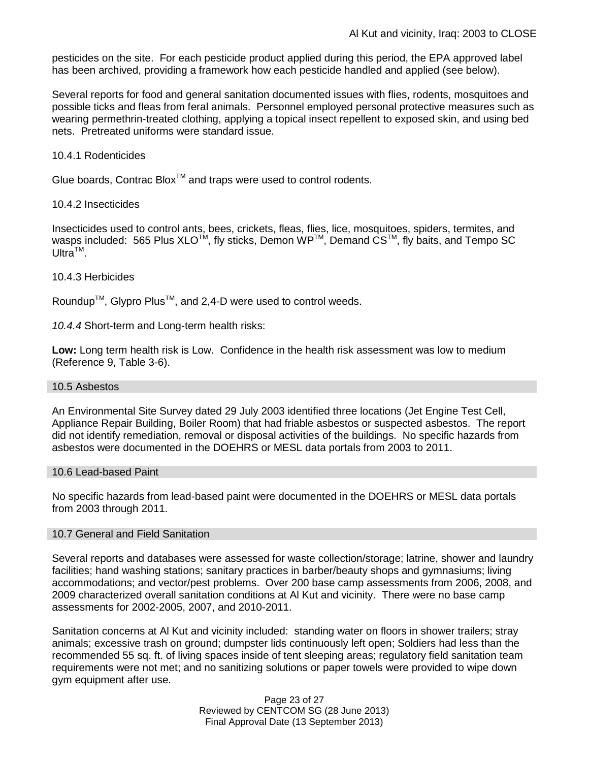pesticides on the site. For each pesticide product applied during this period, the EPA approved label has been archived, providing a framework how each pesticide handled and applied (see below).

Several reports for food and general sanitation documented issues with flies, rodents, mosquitoes and possible ticks and fleas from feral animals. Personnel employed personal protective measures such as wearing permethrin-treated clothing, applying a topical insect repellent to exposed skin, and using bed nets. Pretreated uniforms were standard issue.

#### 10.4.1 Rodenticides

Glue boards, Contrac Blox<sup>TM</sup> and traps were used to control rodents.

#### 10.4.2 Insecticides

Insecticides used to control ants, bees, crickets, fleas, flies, lice, mosquitoes, spiders, termites, and wasps included: 565 Plus XLO<sup>TM</sup>, fly sticks, Demon WP<sup>TM</sup>, Demand CS<sup>TM</sup>, fly baits, and Tempo SC  $U$ ltra<sup>TM</sup>.

#### 10.4.3 Herbicides

Roundup<sup>TM</sup>, Glypro Plus<sup>TM</sup>, and 2,4-D were used to control weeds.

*10.4.4* Short-term and Long-term health risks:

**Low:** Long term health risk is Low. Confidence in the health risk assessment was low to medium (Reference 9, Table 3-6).

#### 10.5 Asbestos

An Environmental Site Survey dated 29 July 2003 identified three locations (Jet Engine Test Cell, Appliance Repair Building, Boiler Room) that had friable asbestos or suspected asbestos. The report did not identify remediation, removal or disposal activities of the buildings. No specific hazards from asbestos were documented in the DOEHRS or MESL data portals from 2003 to 2011.

#### 10.6 Lead-based Paint

No specific hazards from lead-based paint were documented in the DOEHRS or MESL data portals from 2003 through 2011.

#### 10.7 General and Field Sanitation

Several reports and databases were assessed for waste collection/storage; latrine, shower and laundry facilities; hand washing stations; sanitary practices in barber/beauty shops and gymnasiums; living accommodations; and vector/pest problems. Over 200 base camp assessments from 2006, 2008, and 2009 characterized overall sanitation conditions at Al Kut and vicinity. There were no base camp assessments for 2002-2005, 2007, and 2010-2011.

Sanitation concerns at Al Kut and vicinity included: standing water on floors in shower trailers; stray animals; excessive trash on ground; dumpster lids continuously left open; Soldiers had less than the recommended 55 sq. ft. of living spaces inside of tent sleeping areas; regulatory field sanitation team requirements were not met; and no sanitizing solutions or paper towels were provided to wipe down gym equipment after use.

> Page 23 of 27 Reviewed by CENTCOM SG (28 June 2013) Final Approval Date (13 September 2013)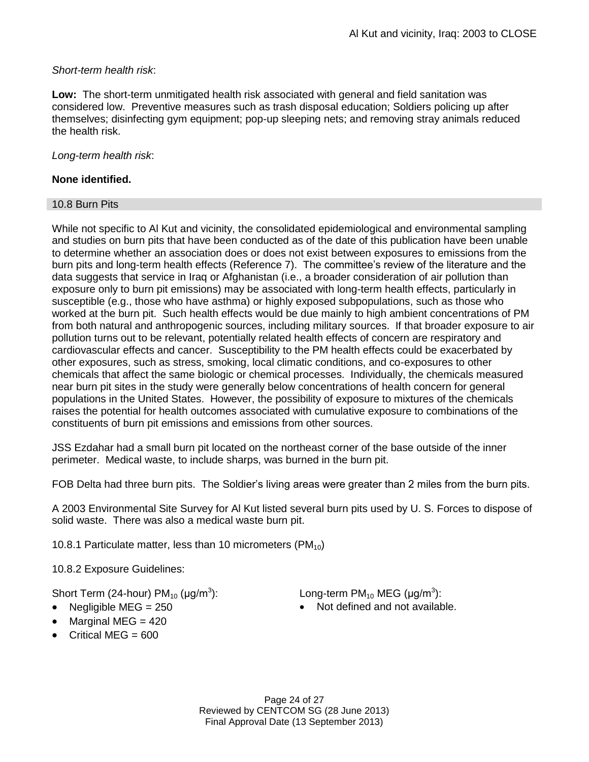# *Short-term health risk*:

**Low:** The short-term unmitigated health risk associated with general and field sanitation was considered low. Preventive measures such as trash disposal education; Soldiers policing up after themselves; disinfecting gym equipment; pop-up sleeping nets; and removing stray animals reduced the health risk.

# *Long-term health risk*:

# **None identified.**

### 10.8 Burn Pits

While not specific to Al Kut and vicinity, the consolidated epidemiological and environmental sampling and studies on burn pits that have been conducted as of the date of this publication have been unable to determine whether an association does or does not exist between exposures to emissions from the burn pits and long-term health effects (Reference 7). The committee's review of the literature and the data suggests that service in Iraq or Afghanistan (i.e., a broader consideration of air pollution than exposure only to burn pit emissions) may be associated with long-term health effects, particularly in susceptible (e.g., those who have asthma) or highly exposed subpopulations, such as those who worked at the burn pit. Such health effects would be due mainly to high ambient concentrations of PM from both natural and anthropogenic sources, including military sources. If that broader exposure to air pollution turns out to be relevant, potentially related health effects of concern are respiratory and cardiovascular effects and cancer. Susceptibility to the PM health effects could be exacerbated by other exposures, such as stress, smoking, local climatic conditions, and co-exposures to other chemicals that affect the same biologic or chemical processes. Individually, the chemicals measured near burn pit sites in the study were generally below concentrations of health concern for general populations in the United States. However, the possibility of exposure to mixtures of the chemicals raises the potential for health outcomes associated with cumulative exposure to combinations of the constituents of burn pit emissions and emissions from other sources.

JSS Ezdahar had a small burn pit located on the northeast corner of the base outside of the inner perimeter. Medical waste, to include sharps, was burned in the burn pit.

FOB Delta had three burn pits. The Soldier's living areas were greater than 2 miles from the burn pits.

A 2003 Environmental Site Survey for Al Kut listed several burn pits used by U. S. Forces to dispose of solid waste. There was also a medical waste burn pit.

10.8.1 Particulate matter, less than 10 micrometers  $(PM_{10})$ 

10.8.2 Exposure Guidelines:

Short Term (24-hour)  $PM_{10}$  ( $\mu$ g/m<sup>3</sup>):

- 
- $\bullet$  Marginal MEG = 420
- $\bullet$  Critical MEG = 600

): Long-term PM<sub>10</sub> MEG ( $\mu$ g/m $^3$ ):

• Negligible MEG = 250 **•** Not defined and not available.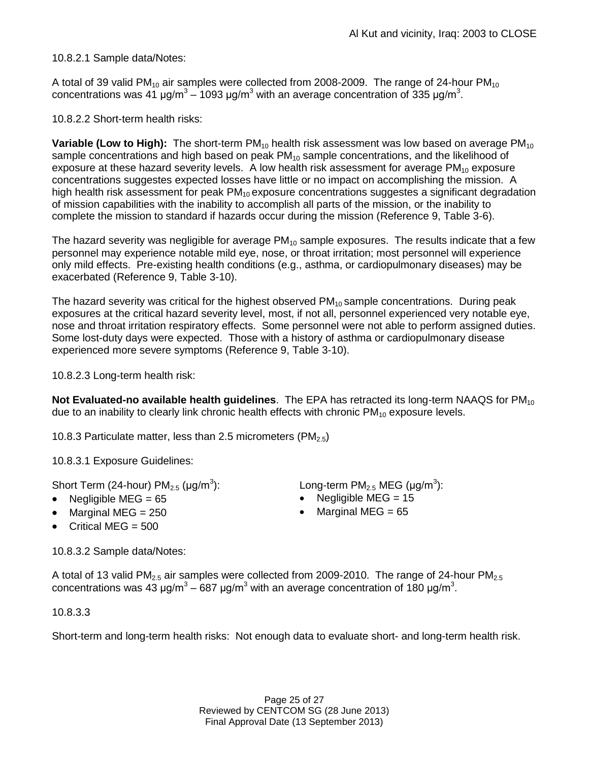10.8.2.1 Sample data/Notes:

A total of 39 valid PM<sub>10</sub> air samples were collected from 2008-2009. The range of 24-hour PM<sub>10</sub> concentrations was 41 μg/m<sup>3</sup> – 1093 μg/m<sup>3</sup> with an average concentration of 335 μg/m<sup>3</sup>.

10.8.2.2 Short-term health risks:

**Variable (Low to High):** The short-term PM<sub>10</sub> health risk assessment was low based on average PM<sub>10</sub> sample concentrations and high based on peak  $PM_{10}$  sample concentrations, and the likelihood of exposure at these hazard severity levels. A low health risk assessment for average  $PM_{10}$  exposure concentrations suggestes expected losses have little or no impact on accomplishing the mission. A high health risk assessment for peak  $PM_{10}$  exposure concentrations suggestes a significant degradation of mission capabilities with the inability to accomplish all parts of the mission, or the inability to complete the mission to standard if hazards occur during the mission (Reference 9, Table 3-6).

The hazard severity was negligible for average  $PM_{10}$  sample exposures. The results indicate that a few personnel may experience notable mild eye, nose, or throat irritation; most personnel will experience only mild effects. Pre-existing health conditions (e.g., asthma, or cardiopulmonary diseases) may be exacerbated (Reference 9, Table 3-10).

The hazard severity was critical for the highest observed  $PM_{10}$  sample concentrations. During peak exposures at the critical hazard severity level, most, if not all, personnel experienced very notable eye, nose and throat irritation respiratory effects. Some personnel were not able to perform assigned duties. Some lost-duty days were expected. Those with a history of asthma or cardiopulmonary disease experienced more severe symptoms (Reference 9, Table 3-10).

10.8.2.3 Long-term health risk:

**Not Evaluated-no available health quidelines**. The EPA has retracted its long-term NAAQS for PM<sub>10</sub> due to an inability to clearly link chronic health effects with chronic  $PM_{10}$  exposure levels.

10.8.3 Particulate matter, less than 2.5 micrometers (PM<sub>2.5</sub>)

10.8.3.1 Exposure Guidelines:

Short Term (24-hour)  $PM_{2.5}$  (µg/m<sup>3</sup>):

- 
- Marginal MEG = 250 **Marginal MEG = 65**
- Critical MEG  $= 500$

10.8.3.2 Sample data/Notes:

A total of 13 valid PM<sub>2.5</sub> air samples were collected from 2009-2010. The range of 24-hour PM<sub>2.5</sub> concentrations was 43 μg/m<sup>3</sup> – 687 μg/m<sup>3</sup> with an average concentration of 180 μg/m<sup>3</sup>.

10.8.3.3

Short-term and long-term health risks: Not enough data to evaluate short- and long-term health risk.

): Long-term PM<sub>2.5</sub> MEG ( $\mu$ g/m<sup>3</sup>):

- Negligible MEG = 65 Negligible MEG = 15
	-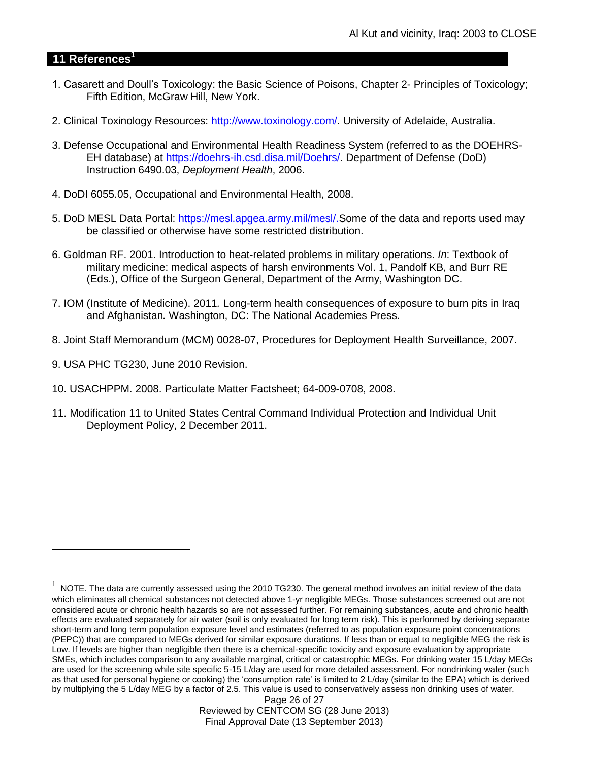# **11 References<sup>1</sup>**

- 1. Casarett and Doull's Toxicology: the Basic Science of Poisons, Chapter 2- Principles of Toxicology; Fifth Edition, McGraw Hill, New York.
- 2. Clinical Toxinology Resources: [http://www.toxinology.com/.](http://www.toxinology.com/) University of Adelaide, Australia.
- 3. Defense Occupational and Environmental Health Readiness System (referred to as the DOEHRS-EH database) at https://doehrs-ih.csd.disa.mil/Doehrs/. Department of Defense (DoD) Instruction 6490.03, *Deployment Health*, 2006.
- 4. DoDI 6055.05, Occupational and Environmental Health, 2008.
- 5. DoD MESL Data Portal: https://mesl.apgea.army.mil/mesl/.Some of the data and reports used may be classified or otherwise have some restricted distribution.
- 6. Goldman RF. 2001. Introduction to heat-related problems in military operations. *In*: Textbook of military medicine: medical aspects of harsh environments Vol. 1, Pandolf KB, and Burr RE (Eds.), Office of the Surgeon General, Department of the Army, Washington DC.
- 7. IOM (Institute of Medicine). 2011*.* Long-term health consequences of exposure to burn pits in Iraq and Afghanistan*.* Washington, DC: The National Academies Press.
- 8. Joint Staff Memorandum (MCM) 0028-07, Procedures for Deployment Health Surveillance, 2007.
- 9. USA PHC TG230, June 2010 Revision.

 $\overline{a}$ 

- 10. USACHPPM. 2008. Particulate Matter Factsheet; 64-009-0708, 2008.
- 11. Modification 11 to United States Central Command Individual Protection and Individual Unit Deployment Policy, 2 December 2011.

Page 26 of 27 Reviewed by CENTCOM SG (28 June 2013) Final Approval Date (13 September 2013)

 $1$  NOTE. The data are currently assessed using the 2010 TG230. The general method involves an initial review of the data which eliminates all chemical substances not detected above 1-yr negligible MEGs. Those substances screened out are not considered acute or chronic health hazards so are not assessed further. For remaining substances, acute and chronic health effects are evaluated separately for air water (soil is only evaluated for long term risk). This is performed by deriving separate short-term and long term population exposure level and estimates (referred to as population exposure point concentrations (PEPC)) that are compared to MEGs derived for similar exposure durations. If less than or equal to negligible MEG the risk is Low. If levels are higher than negligible then there is a chemical-specific toxicity and exposure evaluation by appropriate SMEs, which includes comparison to any available marginal, critical or catastrophic MEGs. For drinking water 15 L/day MEGs are used for the screening while site specific 5-15 L/day are used for more detailed assessment. For nondrinking water (such as that used for personal hygiene or cooking) the 'consumption rate' is limited to 2 L/day (similar to the EPA) which is derived by multiplying the 5 L/day MEG by a factor of 2.5. This value is used to conservatively assess non drinking uses of water.